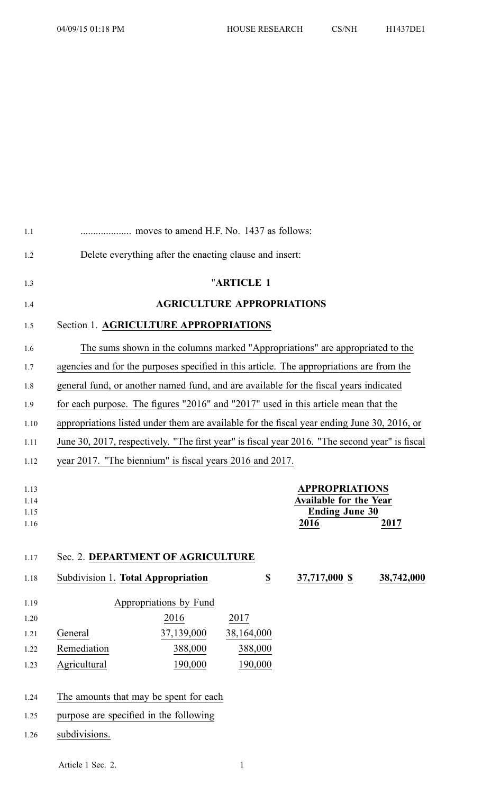| 1.1                          |                                                                                                |                        |                                   |                                                                                         |            |
|------------------------------|------------------------------------------------------------------------------------------------|------------------------|-----------------------------------|-----------------------------------------------------------------------------------------|------------|
| 1.2                          | Delete everything after the enacting clause and insert:                                        |                        |                                   |                                                                                         |            |
| 1.3                          |                                                                                                |                        | "ARTICLE 1                        |                                                                                         |            |
| 1.4                          |                                                                                                |                        | <b>AGRICULTURE APPROPRIATIONS</b> |                                                                                         |            |
| 1.5                          | Section 1. AGRICULTURE APPROPRIATIONS                                                          |                        |                                   |                                                                                         |            |
| 1.6                          |                                                                                                |                        |                                   | The sums shown in the columns marked "Appropriations" are appropriated to the           |            |
| 1.7                          | agencies and for the purposes specified in this article. The appropriations are from the       |                        |                                   |                                                                                         |            |
| 1.8                          | general fund, or another named fund, and are available for the fiscal years indicated          |                        |                                   |                                                                                         |            |
| 1.9                          | for each purpose. The figures "2016" and "2017" used in this article mean that the             |                        |                                   |                                                                                         |            |
| 1.10                         | appropriations listed under them are available for the fiscal year ending June 30, 2016, or    |                        |                                   |                                                                                         |            |
| 1.11                         | June 30, 2017, respectively. "The first year" is fiscal year 2016. "The second year" is fiscal |                        |                                   |                                                                                         |            |
| 1.12                         | year 2017. "The biennium" is fiscal years 2016 and 2017.                                       |                        |                                   |                                                                                         |            |
| 1.13<br>1.14<br>1.15<br>1.16 |                                                                                                |                        |                                   | <b>APPROPRIATIONS</b><br><b>Available for the Year</b><br><b>Ending June 30</b><br>2016 | 2017       |
| 1.17                         | Sec. 2. DEPARTMENT OF AGRICULTURE                                                              |                        |                                   |                                                                                         |            |
| 1.18                         | Subdivision 1. Total Appropriation                                                             |                        | $\overline{\mathbf{S}}$           | 37,717,000 \$                                                                           | 38,742,000 |
| 1.19                         |                                                                                                | Appropriations by Fund |                                   |                                                                                         |            |
| 1.20                         |                                                                                                | 2016                   | 2017                              |                                                                                         |            |
| 1.21                         | General                                                                                        | 37,139,000             | 38,164,000                        |                                                                                         |            |
| 1.22                         | Remediation                                                                                    | 388,000                | 388,000                           |                                                                                         |            |
| 1.23                         | Agricultural                                                                                   | 190,000                | 190,000                           |                                                                                         |            |
| 1.24                         | The amounts that may be spent for each                                                         |                        |                                   |                                                                                         |            |
| 1.25                         | purpose are specified in the following                                                         |                        |                                   |                                                                                         |            |
| 1.26                         | subdivisions.                                                                                  |                        |                                   |                                                                                         |            |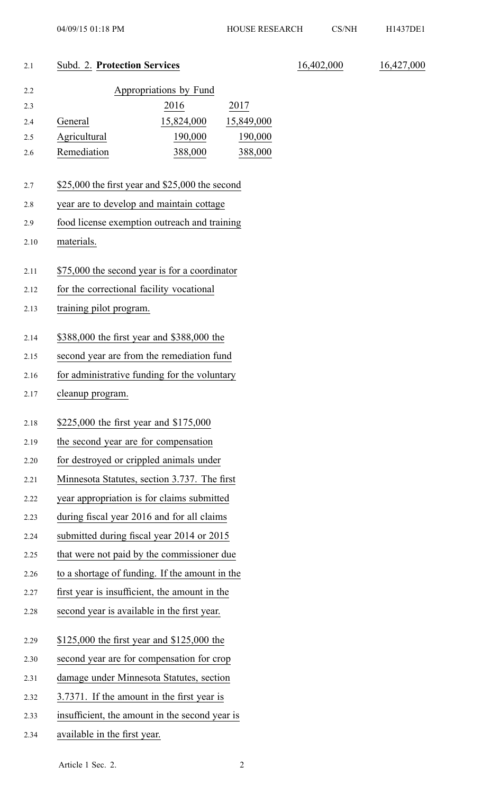#### 2.1 Subd. 2. **Protection Services** 16,402,000 16,427,000

| 2.2 |              | Appropriations by Fund |            |
|-----|--------------|------------------------|------------|
| 2.3 |              | 2016                   | 2017       |
| 2.4 | General      | 15,824,000             | 15,849,000 |
| 2.5 | Agricultural | 190,000                | 190,000    |
| 2.6 | Remediation  | 388,000                | 388,000    |

#### 2.7 \$25,000 the first year and \$25,000 the second

- 2.8 year are to develop and maintain cottage
- 2.9 food license exemption outreach and training
- 2.10 materials.
- 2.11 \$75,000 the second year is for <sup>a</sup> coordinator
- 2.12 for the correctional facility vocational
- 2.13 training pilot program.
- 2.14 \$388,000 the first year and \$388,000 the
- 2.15 second year are from the remediation fund
- 2.16 for administrative funding for the voluntary
- 2.17 cleanup program.
- 2.18 \$225,000 the first year and \$175,000
- 2.19 the second year are for compensation
- 2.20 for destroyed or crippled animals under
- 2.21 Minnesota Statutes, section 3.737. The first
- 2.22 year appropriation is for claims submitted
- 2.23 during fiscal year 2016 and for all claims
- 2.24 submitted during fiscal year 2014 or 2015
- 2.25 that were not paid by the commissioner due
- 2.26 to <sup>a</sup> shortage of funding. If the amount in the
- 2.27 first year is insufficient, the amount in the
- 2.28 second year is available in the first year.
- 2.29 \$125,000 the first year and \$125,000 the
- 2.30 second year are for compensation for crop
- 2.31 damage under Minnesota Statutes, section
- 2.32 3.7371. If the amount in the first year is
- 2.33 insufficient, the amount in the second year is
- 2.34 available in the first year.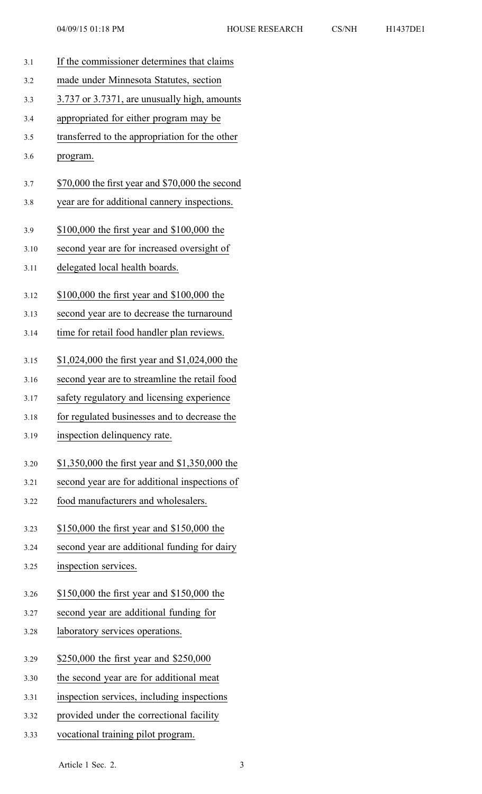3.1 If the commissioner determines that claims 3.2 made under Minnesota Statutes, section 3.3 3.737 or 3.7371, are unusually high, amounts 3.4 appropriated for either program may be 3.5 transferred to the appropriation for the other 3.6 program. 3.7 \$70,000 the first year and \$70,000 the second 3.8 year are for additional cannery inspections. 3.9 \$100,000 the first year and \$100,000 the 3.10 second year are for increased oversight of 3.11 delegated local health boards. 3.12 \$100,000 the first year and \$100,000 the 3.13 second year are to decrease the turnaround 3.14 time for retail food handler plan reviews. 3.15 \$1,024,000 the first year and \$1,024,000 the 3.16 second year are to streamline the retail food 3.17 safety regulatory and licensing experience 3.18 for regulated businesses and to decrease the 3.19 inspection delinquency rate. 3.20 \$1,350,000 the first year and \$1,350,000 the 3.21 second year are for additional inspections of 3.22 food manufacturers and wholesalers. 3.23 \$150,000 the first year and \$150,000 the 3.24 second year are additional funding for dairy 3.25 inspection services. 3.26 \$150,000 the first year and \$150,000 the 3.27 second year are additional funding for 3.28 laboratory services operations. 3.29 \$250,000 the first year and \$250,000 3.30 the second year are for additional meat 3.31 inspection services, including inspections 3.32 provided under the correctional facility 3.33 vocational training pilot program.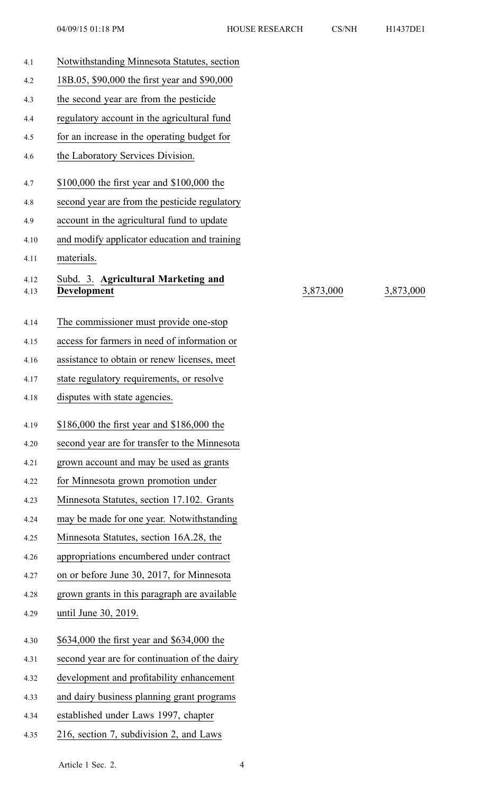| 4.1          | Notwithstanding Minnesota Statutes, section               |           |           |
|--------------|-----------------------------------------------------------|-----------|-----------|
| 4.2          | 18B.05, \$90,000 the first year and \$90,000              |           |           |
| 4.3          | the second year are from the pesticide                    |           |           |
| 4.4          | regulatory account in the agricultural fund               |           |           |
| 4.5          | for an increase in the operating budget for               |           |           |
| 4.6          | the Laboratory Services Division.                         |           |           |
| 4.7          | \$100,000 the first year and \$100,000 the                |           |           |
| 4.8          | second year are from the pesticide regulatory             |           |           |
| 4.9          | account in the agricultural fund to update                |           |           |
| 4.10         | and modify applicator education and training              |           |           |
| 4.11         | materials.                                                |           |           |
| 4.12<br>4.13 | Subd. 3. Agricultural Marketing and<br><b>Development</b> | 3,873,000 | 3,873,000 |
| 4.14         | The commissioner must provide one-stop                    |           |           |
| 4.15         | access for farmers in need of information or              |           |           |
| 4.16         | assistance to obtain or renew licenses, meet              |           |           |
| 4.17         | state regulatory requirements, or resolve                 |           |           |
| 4.18         | disputes with state agencies.                             |           |           |
| 4.19         | \$186,000 the first year and \$186,000 the                |           |           |
| 4.20         | second year are for transfer to the Minnesota             |           |           |
| 4.21         | grown account and may be used as grants                   |           |           |
| 4.22         | for Minnesota grown promotion under                       |           |           |
| 4.23         | Minnesota Statutes, section 17.102. Grants                |           |           |
| 4.24         | may be made for one year. Notwithstanding                 |           |           |
| 4.25         | Minnesota Statutes, section 16A.28, the                   |           |           |
| 4.26         | appropriations encumbered under contract                  |           |           |
| 4.27         | on or before June 30, 2017, for Minnesota                 |           |           |
| 4.28         | grown grants in this paragraph are available              |           |           |
| 4.29         | until June 30, 2019.                                      |           |           |
| 4.30         | \$634,000 the first year and \$634,000 the                |           |           |
| 4.31         | second year are for continuation of the dairy             |           |           |
| 4.32         | development and profitability enhancement                 |           |           |
| 4.33         | and dairy business planning grant programs                |           |           |
| 4.34         | established under Laws 1997, chapter                      |           |           |
| 4.35         | 216, section 7, subdivision 2, and Laws                   |           |           |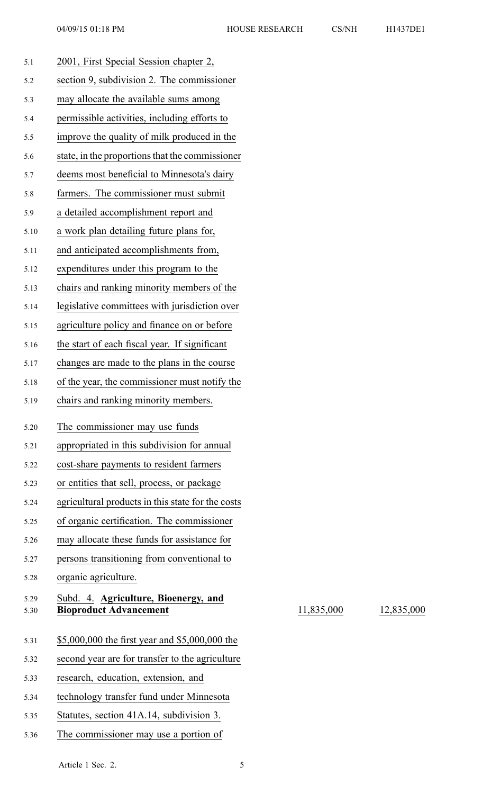5.30 **Bioproduct Advancement** 11,835,000 12,835,000

| H1437DE1 |  |
|----------|--|

| 2001, First Special Session chapter 2,<br>5.1                                         |  |
|---------------------------------------------------------------------------------------|--|
| section 9, subdivision 2. The commissioner<br>5.2                                     |  |
| may allocate the available sums among<br>5.3                                          |  |
| permissible activities, including efforts to<br>5.4                                   |  |
| improve the quality of milk produced in the<br>5.5                                    |  |
| state, in the proportions that the commissioner<br>5.6                                |  |
| deems most beneficial to Minnesota's dairy<br>5.7                                     |  |
| farmers. The commissioner must submit<br>5.8                                          |  |
| a detailed accomplishment report and<br>5.9                                           |  |
| a work plan detailing future plans for,<br>5.10                                       |  |
| and anticipated accomplishments from,<br>5.11                                         |  |
| expenditures under this program to the<br>5.12                                        |  |
| chairs and ranking minority members of the<br>5.13                                    |  |
| legislative committees with jurisdiction over<br>5.14                                 |  |
| agriculture policy and finance on or before<br>5.15                                   |  |
| the start of each fiscal year. If significant<br>5.16                                 |  |
| changes are made to the plans in the course<br>5.17                                   |  |
| of the year, the commissioner must notify the<br>5.18                                 |  |
| chairs and ranking minority members.<br>5.19                                          |  |
|                                                                                       |  |
| The commissioner may use funds<br>5.20                                                |  |
| appropriated in this subdivision for annual<br>5.21                                   |  |
| cost-share payments to resident farmers<br>5.22                                       |  |
| or entities that sell, process, or package<br>5.23                                    |  |
| agricultural products in this state for the costs<br>5.24                             |  |
| of organic certification. The commissioner<br>5.25                                    |  |
| may allocate these funds for assistance for<br>5.26                                   |  |
| persons transitioning from conventional to<br>5.27                                    |  |
| organic agriculture.<br>5.28                                                          |  |
| Subd. 4. Agriculture, Bioenergy, and<br>5.29<br><b>Bioproduct Advancement</b><br>5.30 |  |
|                                                                                       |  |
| \$5,000,000 the first year and \$5,000,000 the<br>5.31                                |  |
| second year are for transfer to the agriculture<br>5.32                               |  |
| research, education, extension, and<br>5.33                                           |  |
| technology transfer fund under Minnesota<br>5.34                                      |  |
|                                                                                       |  |
| Statutes, section 41A.14, subdivision 3.<br>5.35                                      |  |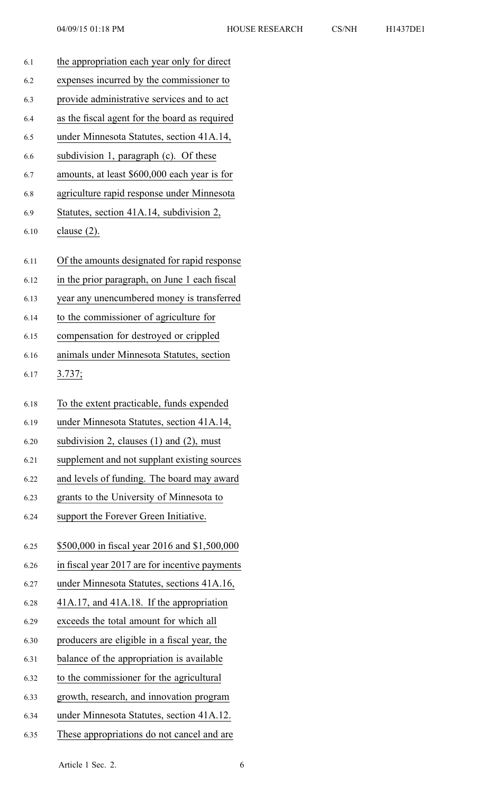| 6.1  | the appropriation each year only for direct    |
|------|------------------------------------------------|
| 6.2  | expenses incurred by the commissioner to       |
| 6.3  | provide administrative services and to act     |
| 6.4  | as the fiscal agent for the board as required  |
| 6.5  | under Minnesota Statutes, section 41A.14,      |
| 6.6  | subdivision 1, paragraph (c). Of these         |
| 6.7  | amounts, at least \$600,000 each year is for   |
| 6.8  | agriculture rapid response under Minnesota     |
| 6.9  | Statutes, section 41A.14, subdivision 2,       |
| 6.10 | clause $(2)$ .                                 |
| 6.11 | Of the amounts designated for rapid response   |
| 6.12 | in the prior paragraph, on June 1 each fiscal  |
| 6.13 | year any unencumbered money is transferred     |
| 6.14 | to the commissioner of agriculture for         |
| 6.15 | compensation for destroyed or crippled         |
| 6.16 | animals under Minnesota Statutes, section      |
| 6.17 | 3.737;                                         |
|      |                                                |
| 6.18 | To the extent practicable, funds expended      |
| 6.19 | under Minnesota Statutes, section 41A.14,      |
| 6.20 | subdivision 2, clauses $(1)$ and $(2)$ , must  |
| 6.21 | supplement and not supplant existing sources   |
| 6.22 | and levels of funding. The board may award     |
| 6.23 | grants to the University of Minnesota to       |
| 6.24 | support the Forever Green Initiative.          |
| 6.25 | \$500,000 in fiscal year 2016 and \$1,500,000  |
| 6.26 | in fiscal year 2017 are for incentive payments |
| 6.27 | under Minnesota Statutes, sections 41A.16,     |
| 6.28 | 41A.17, and 41A.18. If the appropriation       |
| 6.29 | exceeds the total amount for which all         |
| 6.30 | producers are eligible in a fiscal year, the   |
| 6.31 | balance of the appropriation is available      |
| 6.32 | to the commissioner for the agricultural       |
| 6.33 | growth, research, and innovation program       |
| 6.34 | under Minnesota Statutes, section 41A.12.      |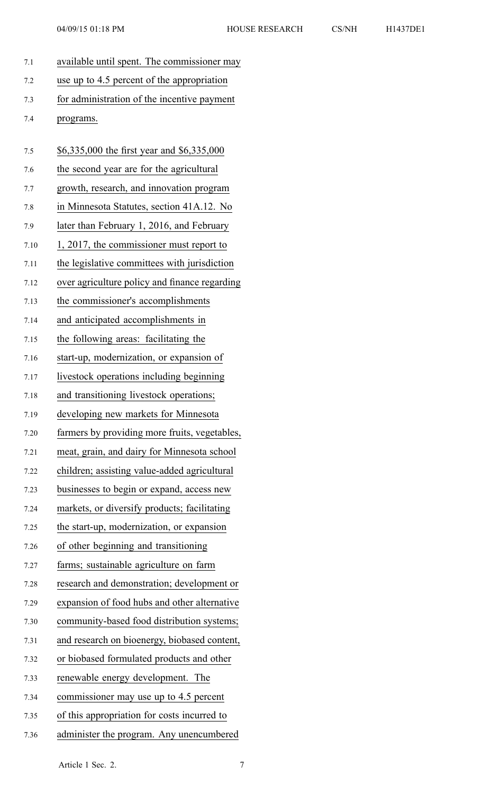| 7.1  | available until spent. The commissioner may   |
|------|-----------------------------------------------|
| 7.2  | use up to 4.5 percent of the appropriation    |
| 7.3  | for administration of the incentive payment   |
| 7.4  | programs.                                     |
|      |                                               |
| 7.5  | \$6,335,000 the first year and \$6,335,000    |
| 7.6  | the second year are for the agricultural      |
| 7.7  | growth, research, and innovation program      |
| 7.8  | in Minnesota Statutes, section 41A.12. No     |
| 7.9  | later than February 1, 2016, and February     |
| 7.10 | $1, 2017$ , the commissioner must report to   |
| 7.11 | the legislative committees with jurisdiction  |
| 7.12 | over agriculture policy and finance regarding |
| 7.13 | the commissioner's accomplishments            |
| 7.14 | and anticipated accomplishments in            |
| 7.15 | the following areas: facilitating the         |
| 7.16 | start-up, modernization, or expansion of      |
| 7.17 | livestock operations including beginning      |
| 7.18 | and transitioning livestock operations;       |
| 7.19 | developing new markets for Minnesota          |
| 7.20 | farmers by providing more fruits, vegetables, |
| 7.21 | meat, grain, and dairy for Minnesota school   |
| 7.22 | children; assisting value-added agricultural  |
| 7.23 | businesses to begin or expand, access new     |
| 7.24 | markets, or diversify products; facilitating  |
| 7.25 | the start-up, modernization, or expansion     |
| 7.26 | of other beginning and transitioning          |
| 7.27 | farms; sustainable agriculture on farm        |
| 7.28 | research and demonstration; development or    |
| 7.29 | expansion of food hubs and other alternative  |
| 7.30 | community-based food distribution systems;    |

- 7.31 and research on bioenergy, biobased content,
- 7.32 or biobased formulated products and other
- 7.33 renewable energy development. The
- 7.34 commissioner may use up to 4.5 percen<sup>t</sup>
- 7.35 of this appropriation for costs incurred to
- 7.36 administer the program. Any unencumbered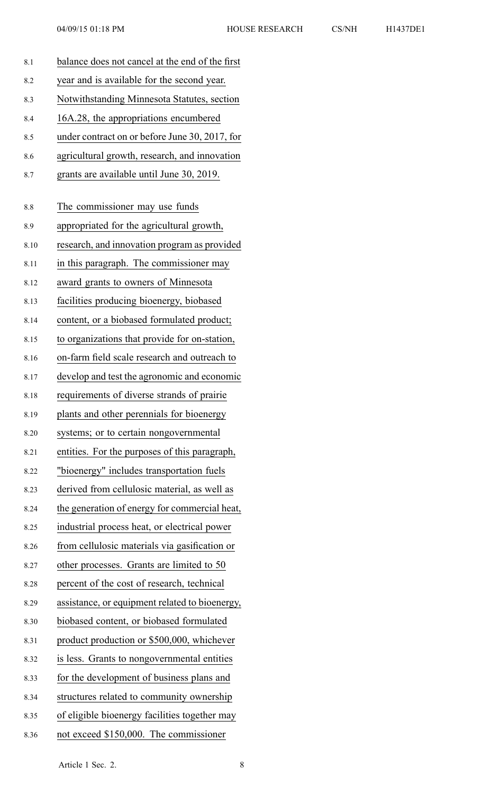| ⅎ<br>4 | /DF |  |
|--------|-----|--|
|        |     |  |

| 8.1  | balance does not cancel at the end of the first |
|------|-------------------------------------------------|
| 8.2  | year and is available for the second year.      |
| 8.3  | Notwithstanding Minnesota Statutes, section     |
| 8.4  | 16A.28, the appropriations encumbered           |
| 8.5  | under contract on or before June 30, 2017, for  |
| 8.6  | agricultural growth, research, and innovation   |
| 8.7  | grants are available until June 30, 2019.       |
| 8.8  | The commissioner may use funds                  |
| 8.9  | appropriated for the agricultural growth,       |
| 8.10 | research, and innovation program as provided    |
| 8.11 | in this paragraph. The commissioner may         |
| 8.12 | award grants to owners of Minnesota             |
| 8.13 | facilities producing bioenergy, biobased        |
| 8.14 | content, or a biobased formulated product;      |
| 8.15 | to organizations that provide for on-station,   |
| 8.16 | on-farm field scale research and outreach to    |
| 8.17 | develop and test the agronomic and economic     |
| 8.18 | requirements of diverse strands of prairie      |
| 8.19 | plants and other perennials for bioenergy       |
| 8.20 | systems; or to certain nongovernmental          |
| 8.21 | entities. For the purposes of this paragraph,   |
| 8.22 | "bioenergy" includes transportation fuels       |
| 8.23 | derived from cellulosic material, as well as    |
| 8.24 | the generation of energy for commercial heat,   |
| 8.25 | industrial process heat, or electrical power    |
| 8.26 | from cellulosic materials via gasification or   |
| 8.27 | other processes. Grants are limited to 50       |
| 8.28 | percent of the cost of research, technical      |
| 8.29 | assistance, or equipment related to bioenergy,  |
| 8.30 | biobased content, or biobased formulated        |
| 8.31 | product production or \$500,000, whichever      |
| 8.32 | is less. Grants to nongovernmental entities     |
| 8.33 | for the development of business plans and       |
| 8.34 | structures related to community ownership       |
| 8.35 | of eligible bioenergy facilities together may   |
| 8.36 | not exceed \$150,000. The commissioner          |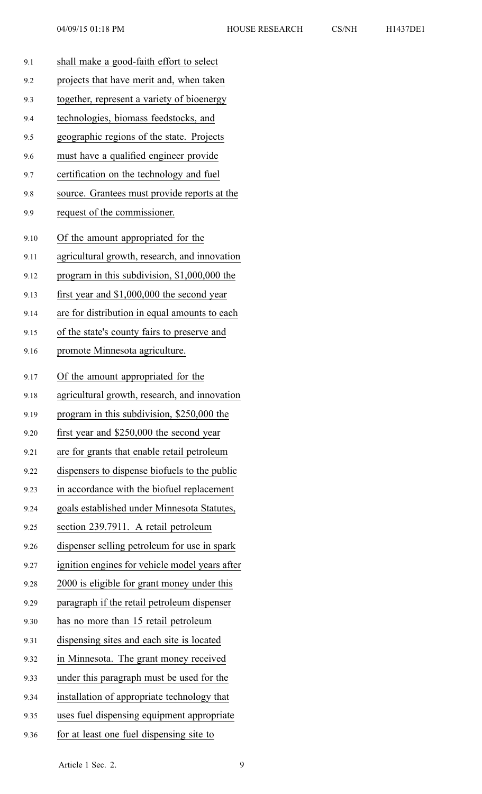| 9.1  | shall make a good-faith effort to select       |
|------|------------------------------------------------|
| 9.2  | projects that have merit and, when taken       |
| 9.3  | together, represent a variety of bioenergy     |
| 9.4  | technologies, biomass feedstocks, and          |
| 9.5  | geographic regions of the state. Projects      |
| 9.6  | must have a qualified engineer provide         |
| 9.7  | certification on the technology and fuel       |
| 9.8  | source. Grantees must provide reports at the   |
| 9.9  | request of the commissioner.                   |
| 9.10 | Of the amount appropriated for the             |
| 9.11 | agricultural growth, research, and innovation  |
| 9.12 | program in this subdivision, \$1,000,000 the   |
| 9.13 | first year and \$1,000,000 the second year     |
| 9.14 | are for distribution in equal amounts to each  |
| 9.15 | of the state's county fairs to preserve and    |
| 9.16 | promote Minnesota agriculture.                 |
| 9.17 | Of the amount appropriated for the             |
| 9.18 | agricultural growth, research, and innovation  |
| 9.19 | program in this subdivision, \$250,000 the     |
| 9.20 | first year and \$250,000 the second year       |
| 9.21 | are for grants that enable retail petroleum    |
| 9.22 | dispensers to dispense biofuels to the public  |
| 9.23 | in accordance with the biofuel replacement     |
| 9.24 | goals established under Minnesota Statutes,    |
| 9.25 | section 239.7911. A retail petroleum           |
| 9.26 | dispenser selling petroleum for use in spark   |
| 9.27 | ignition engines for vehicle model years after |
| 9.28 | 2000 is eligible for grant money under this    |
| 9.29 | paragraph if the retail petroleum dispenser    |
| 9.30 | has no more than 15 retail petroleum           |
| 9.31 | dispensing sites and each site is located      |
| 9.32 | in Minnesota. The grant money received         |
| 9.33 | under this paragraph must be used for the      |
| 9.34 | installation of appropriate technology that    |
| 9.35 | uses fuel dispensing equipment appropriate     |
| 9.36 | for at least one fuel dispensing site to       |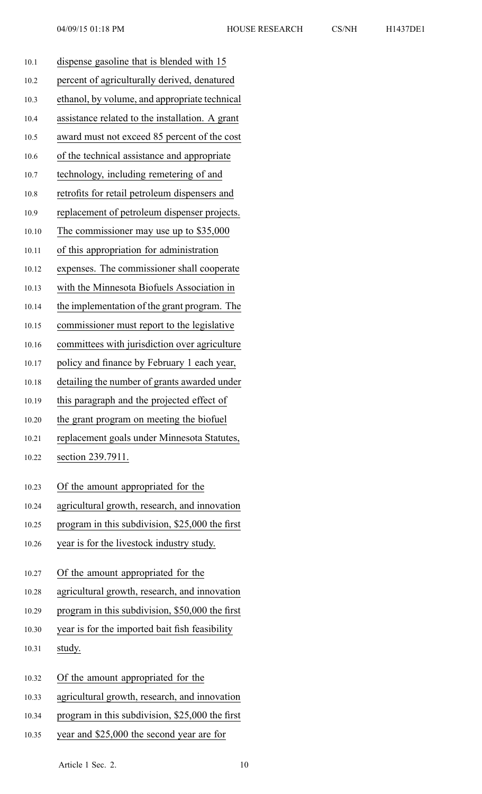| 10.1  | dispense gasoline that is blended with 15       |
|-------|-------------------------------------------------|
| 10.2  | percent of agriculturally derived, denatured    |
| 10.3  | ethanol, by volume, and appropriate technical   |
| 10.4  | assistance related to the installation. A grant |
| 10.5  | award must not exceed 85 percent of the cost    |
| 10.6  | of the technical assistance and appropriate     |
| 10.7  | technology, including remetering of and         |
| 10.8  | retrofits for retail petroleum dispensers and   |
| 10.9  | replacement of petroleum dispenser projects.    |
| 10.10 | The commissioner may use up to $$35,000$        |
| 10.11 | of this appropriation for administration        |
| 10.12 | expenses. The commissioner shall cooperate      |
| 10.13 | with the Minnesota Biofuels Association in      |
| 10.14 | the implementation of the grant program. The    |
| 10.15 | commissioner must report to the legislative     |
| 10.16 | committees with jurisdiction over agriculture   |
| 10.17 | policy and finance by February 1 each year,     |
| 10.18 | detailing the number of grants awarded under    |
| 10.19 | this paragraph and the projected effect of      |
| 10.20 | the grant program on meeting the biofuel        |
| 10.21 | replacement goals under Minnesota Statutes,     |
| 10.22 | section 239.7911.                               |
| 10.23 | Of the amount appropriated for the              |
| 10.24 | agricultural growth, research, and innovation   |
| 10.25 | program in this subdivision, \$25,000 the first |
| 10.26 | year is for the livestock industry study.       |
|       |                                                 |
| 10.27 | Of the amount appropriated for the              |
| 10.28 | agricultural growth, research, and innovation   |
| 10.29 | program in this subdivision, \$50,000 the first |
| 10.30 | year is for the imported bait fish feasibility  |
| 10.31 | study.                                          |
|       |                                                 |
| 10.32 | Of the amount appropriated for the              |
| 10.33 | agricultural growth, research, and innovation   |
| 10.34 | program in this subdivision, \$25,000 the first |

10.35 year and \$25,000 the second year are for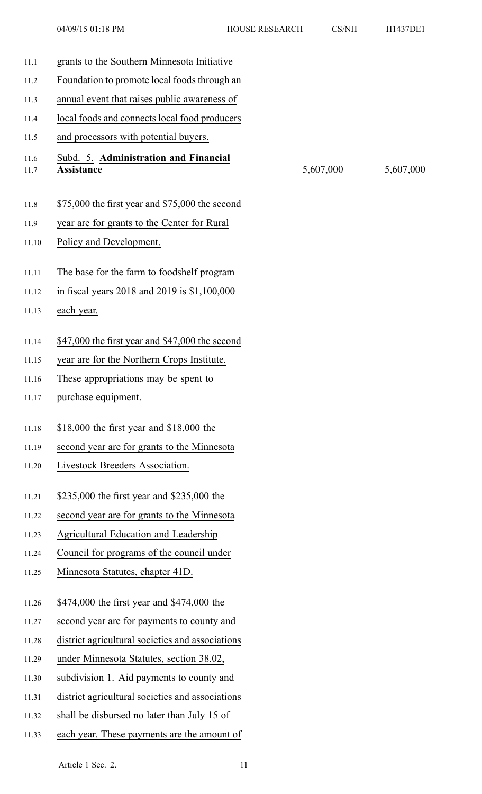| 11.1         | grants to the Southern Minnesota Initiative                |           |           |
|--------------|------------------------------------------------------------|-----------|-----------|
| 11.2         | Foundation to promote local foods through an               |           |           |
| 11.3         | annual event that raises public awareness of               |           |           |
| 11.4         | local foods and connects local food producers              |           |           |
| 11.5         | and processors with potential buyers.                      |           |           |
| 11.6<br>11.7 | Subd. 5. Administration and Financial<br><b>Assistance</b> | 5,607,000 | 5,607,000 |
| 11.8         | $$75,000$ the first year and $$75,000$ the second          |           |           |
| 11.9         | year are for grants to the Center for Rural                |           |           |
| 11.10        | Policy and Development.                                    |           |           |
| 11.11        | The base for the farm to foodshelf program                 |           |           |
| 11.12        | in fiscal years 2018 and 2019 is \$1,100,000               |           |           |
| 11.13        | each year.                                                 |           |           |
| 11.14        | \$47,000 the first year and \$47,000 the second            |           |           |
| 11.15        | year are for the Northern Crops Institute.                 |           |           |
| 11.16        | These appropriations may be spent to                       |           |           |
| 11.17        | purchase equipment.                                        |           |           |
| 11.18        | \$18,000 the first year and \$18,000 the                   |           |           |
| 11.19        | second year are for grants to the Minnesota                |           |           |
| 11.20        | Livestock Breeders Association.                            |           |           |
| 11.21        | \$235,000 the first year and \$235,000 the                 |           |           |
| 11.22        | second year are for grants to the Minnesota                |           |           |
| 11.23        | Agricultural Education and Leadership                      |           |           |
| 11.24        | Council for programs of the council under                  |           |           |
| 11.25        | Minnesota Statutes, chapter 41D.                           |           |           |
| 11.26        | \$474,000 the first year and \$474,000 the                 |           |           |
| 11.27        | second year are for payments to county and                 |           |           |
| 11.28        | district agricultural societies and associations           |           |           |
| 11.29        | under Minnesota Statutes, section 38.02,                   |           |           |
| 11.30        | subdivision 1. Aid payments to county and                  |           |           |
| 11.31        | district agricultural societies and associations           |           |           |
| 11.32        | shall be disbursed no later than July 15 of                |           |           |
| 11.33        | each year. These payments are the amount of                |           |           |
|              |                                                            |           |           |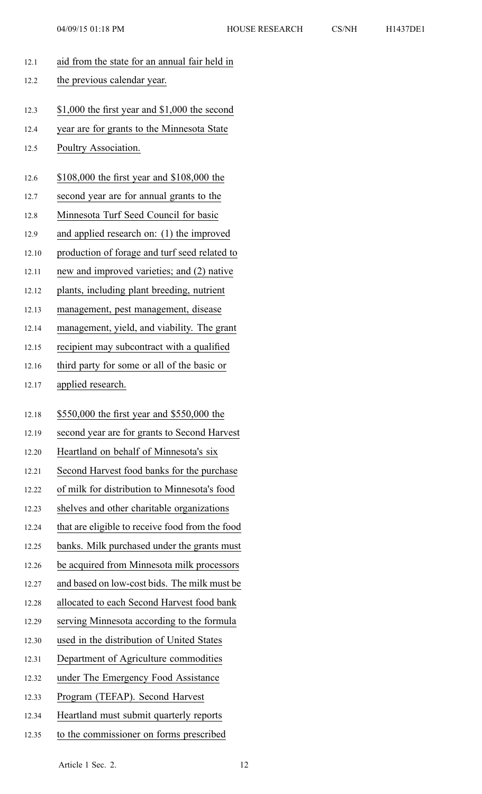| 12.1  | aid from the state for an annual fair held in   |
|-------|-------------------------------------------------|
| 12.2  | the previous calendar year.                     |
|       |                                                 |
| 12.3  | \$1,000 the first year and \$1,000 the second   |
| 12.4  | year are for grants to the Minnesota State      |
| 12.5  | Poultry Association.                            |
| 12.6  | \$108,000 the first year and \$108,000 the      |
| 12.7  | second year are for annual grants to the        |
| 12.8  | Minnesota Turf Seed Council for basic           |
| 12.9  | and applied research on: (1) the improved       |
| 12.10 | production of forage and turf seed related to   |
| 12.11 | new and improved varieties; and (2) native      |
| 12.12 | plants, including plant breeding, nutrient      |
| 12.13 | management, pest management, disease            |
| 12.14 | management, yield, and viability. The grant     |
| 12.15 | recipient may subcontract with a qualified      |
| 12.16 | third party for some or all of the basic or     |
| 12.17 | applied research.                               |
|       |                                                 |
| 12.18 | \$550,000 the first year and \$550,000 the      |
| 12.19 | second year are for grants to Second Harvest    |
| 12.20 | Heartland on behalf of Minnesota's six          |
| 12.21 | Second Harvest food banks for the purchase      |
| 12.22 | of milk for distribution to Minnesota's food    |
| 12.23 | shelves and other charitable organizations      |
| 12.24 | that are eligible to receive food from the food |
| 12.25 | banks. Milk purchased under the grants must     |
| 12.26 | be acquired from Minnesota milk processors      |
| 12.27 | and based on low-cost bids. The milk must be    |
| 12.28 | allocated to each Second Harvest food bank      |
| 12.29 | serving Minnesota according to the formula      |
| 12.30 | used in the distribution of United States       |
| 12.31 | Department of Agriculture commodities           |
| 12.32 | under The Emergency Food Assistance             |
| 12.33 | Program (TEFAP). Second Harvest                 |
| 12.34 | Heartland must submit quarterly reports         |
| 12.35 | to the commissioner on forms prescribed         |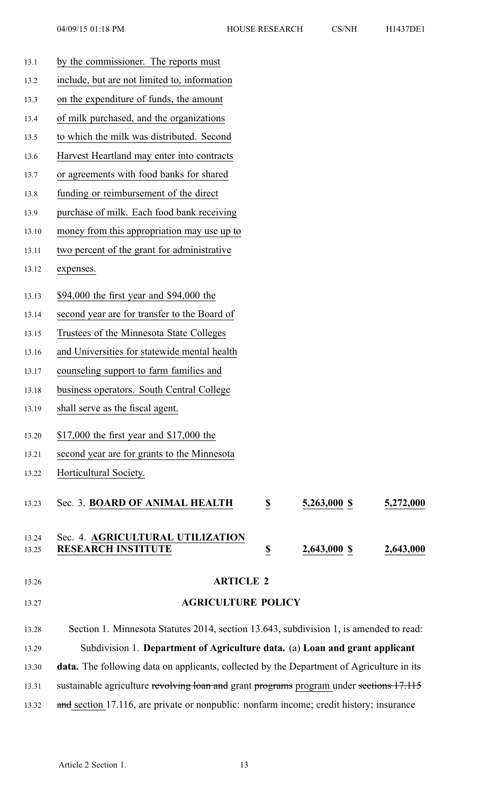| 13.1           | by the commissioner. The reports must                                                            |                         |              |           |
|----------------|--------------------------------------------------------------------------------------------------|-------------------------|--------------|-----------|
| 13.2           | include, but are not limited to, information                                                     |                         |              |           |
| 13.3           | on the expenditure of funds, the amount                                                          |                         |              |           |
| 13.4           | of milk purchased, and the organizations                                                         |                         |              |           |
| 13.5           | to which the milk was distributed. Second                                                        |                         |              |           |
| 13.6           | Harvest Heartland may enter into contracts                                                       |                         |              |           |
| 13.7           | or agreements with food banks for shared                                                         |                         |              |           |
| 13.8           | funding or reimbursement of the direct                                                           |                         |              |           |
| 13.9           | purchase of milk. Each food bank receiving                                                       |                         |              |           |
| 13.10          | money from this appropriation may use up to                                                      |                         |              |           |
| 13.11          | two percent of the grant for administrative                                                      |                         |              |           |
| 13.12          | expenses.                                                                                        |                         |              |           |
| 13.13          | \$94,000 the first year and \$94,000 the                                                         |                         |              |           |
| 13.14          | second year are for transfer to the Board of                                                     |                         |              |           |
| 13.15          | Trustees of the Minnesota State Colleges                                                         |                         |              |           |
| 13.16          | and Universities for statewide mental health                                                     |                         |              |           |
| 13.17          | counseling support to farm families and                                                          |                         |              |           |
| 13.18          | business operators. South Central College                                                        |                         |              |           |
| 13.19          | shall serve as the fiscal agent.                                                                 |                         |              |           |
| 13.20          | \$17,000 the first year and \$17,000 the                                                         |                         |              |           |
| 13.21          | second year are for grants to the Minnesota                                                      |                         |              |           |
| 13.22          | Horticultural Society.                                                                           |                         |              |           |
| 13.23          | Sec. 3. BOARD OF ANIMAL HEALTH                                                                   | $\overline{\mathbf{S}}$ | 5,263,000 \$ | 5,272,000 |
| 13.24<br>13.25 | Sec. 4. AGRICULTURAL UTILIZATION<br><b>RESEARCH INSTITUTE</b>                                    | $\overline{\mathbf{2}}$ | 2,643,000 \$ | 2,643,000 |
| 13.26          | <b>ARTICLE 2</b>                                                                                 |                         |              |           |
| 13.27          | <b>AGRICULTURE POLICY</b>                                                                        |                         |              |           |
| 13.28          | Section 1. Minnesota Statutes 2014, section 13.643, subdivision 1, is amended to read:           |                         |              |           |
| 13.29          | Subdivision 1. Department of Agriculture data. (a) Loan and grant applicant                      |                         |              |           |
| 13.30          | <b>data.</b> The following data on applicants, collected by the Department of Agriculture in its |                         |              |           |
| 13.31          | sustainable agriculture revolving loan and grant programs program under sections 17.115          |                         |              |           |

13.32 and section 17.116, are private or nonpublic: nonfarm income; credit history; insurance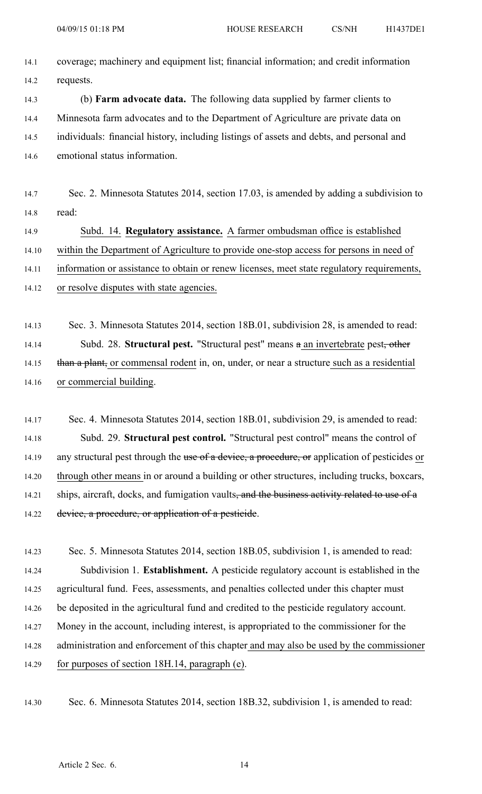| 14.1 | coverage; machinery and equipment list; financial information; and credit information    |
|------|------------------------------------------------------------------------------------------|
| 14.2 | requests.                                                                                |
| 14.3 | (b) <b>Farm advocate data.</b> The following data supplied by farmer clients to          |
| 14.4 | Minnesota farm advocates and to the Department of Agriculture are private data on        |
| 14.5 | individuals: financial history, including listings of assets and debts, and personal and |
| 14.6 | emotional status information.                                                            |

14.7 Sec. 2. Minnesota Statutes 2014, section 17.03, is amended by adding <sup>a</sup> subdivision to 14.8 read:

14.9 Subd. 14. **Regulatory assistance.** A farmer ombudsman office is established 14.10 within the Department of Agriculture to provide one-stop access for persons in need of 14.11 information or assistance to obtain or renew licenses, meet state regulatory requirements, 14.12 or resolve disputes with state agencies.

14.13 Sec. 3. Minnesota Statutes 2014, section 18B.01, subdivision 28, is amended to read: 14.14 Subd. 28. **Structural pest.** "Structural pest" means <sup>a</sup> an invertebrate pest, other 14.15 than a plant, or commensal rodent in, on, under, or near a structure such as a residential 14.16 or commercial building.

14.17 Sec. 4. Minnesota Statutes 2014, section 18B.01, subdivision 29, is amended to read: 14.18 Subd. 29. **Structural pes<sup>t</sup> control.** "Structural pes<sup>t</sup> control" means the control of 14.19 any structural pest through the use of a device, a procedure, or application of pesticides or 14.20 through other means in or around <sup>a</sup> building or other structures, including trucks, boxcars, 14.21 ships, aircraft, docks, and fumigation vaults<del>, and the business activity related to use of a</del> 14.22 device, a procedure, or application of a pesticide.

14.23 Sec. 5. Minnesota Statutes 2014, section 18B.05, subdivision 1, is amended to read: 14.24 Subdivision 1. **Establishment.** A pesticide regulatory account is established in the 14.25 agricultural fund. Fees, assessments, and penalties collected under this chapter must 14.26 be deposited in the agricultural fund and credited to the pesticide regulatory account. 14.27 Money in the account, including interest, is appropriated to the commissioner for the 14.28 administration and enforcement of this chapter and may also be used by the commissioner 14.29 for purposes of section 18H.14, paragraph (e).

14.30 Sec. 6. Minnesota Statutes 2014, section 18B.32, subdivision 1, is amended to read: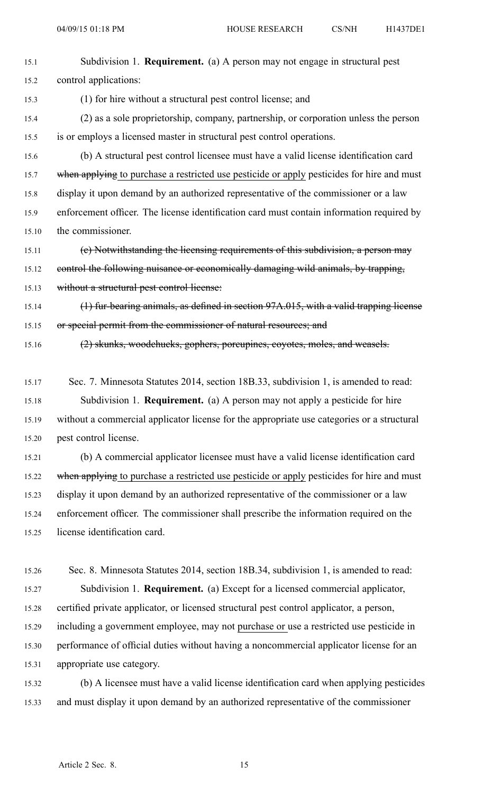| 15.1  | Subdivision 1. <b>Requirement.</b> (a) A person may not engage in structural pest          |
|-------|--------------------------------------------------------------------------------------------|
| 15.2  | control applications:                                                                      |
| 15.3  | (1) for hire without a structural pest control license; and                                |
| 15.4  | (2) as a sole proprietorship, company, partnership, or corporation unless the person       |
| 15.5  | is or employs a licensed master in structural pest control operations.                     |
| 15.6  | (b) A structural pest control licensee must have a valid license identification card       |
| 15.7  | when applying to purchase a restricted use pesticide or apply pesticides for hire and must |
| 15.8  | display it upon demand by an authorized representative of the commissioner or a law        |
| 15.9  | enforcement officer. The license identification card must contain information required by  |
| 15.10 | the commissioner.                                                                          |
| 15.11 | (e) Notwithstanding the licensing requirements of this subdivision, a person may           |
| 15.12 | control the following nuisance or economically damaging wild animals, by trapping,         |
| 15.13 | without a structural pest control license:                                                 |
| 15.14 | (1) fur-bearing animals, as defined in section 97A.015, with a valid trapping license      |
| 15.15 | or special permit from the commissioner of natural resources; and                          |
| 15.16 | (2) skunks, woodehueks, gophers, porcupines, coyotes, moles, and weasels.                  |
|       |                                                                                            |

15.17 Sec. 7. Minnesota Statutes 2014, section 18B.33, subdivision 1, is amended to read: 15.18 Subdivision 1. **Requirement.** (a) A person may not apply <sup>a</sup> pesticide for hire 15.19 without <sup>a</sup> commercial applicator license for the appropriate use categories or <sup>a</sup> structural 15.20 pes<sup>t</sup> control license.

15.21 (b) A commercial applicator licensee must have <sup>a</sup> valid license identification card 15.22 when applying to purchase a restricted use pesticide or apply pesticides for hire and must 15.23 display it upon demand by an authorized representative of the commissioner or <sup>a</sup> law 15.24 enforcement officer. The commissioner shall prescribe the information required on the 15.25 license identification card.

15.26 Sec. 8. Minnesota Statutes 2014, section 18B.34, subdivision 1, is amended to read: 15.27 Subdivision 1. **Requirement.** (a) Except for <sup>a</sup> licensed commercial applicator, 15.28 certified private applicator, or licensed structural pes<sup>t</sup> control applicator, <sup>a</sup> person, 15.29 including <sup>a</sup> governmen<sup>t</sup> employee, may not purchase or use <sup>a</sup> restricted use pesticide in 15.30 performance of official duties without having <sup>a</sup> noncommercial applicator license for an 15.31 appropriate use category.

15.32 (b) A licensee must have <sup>a</sup> valid license identification card when applying pesticides 15.33 and must display it upon demand by an authorized representative of the commissioner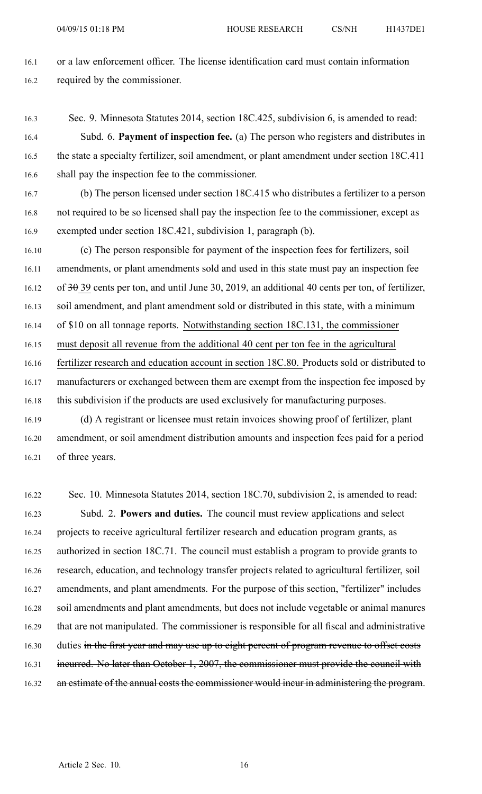16.1 or <sup>a</sup> law enforcement officer. The license identification card must contain information 16.2 required by the commissioner.

16.3 Sec. 9. Minnesota Statutes 2014, section 18C.425, subdivision 6, is amended to read:

16.4 Subd. 6. **Payment of inspection fee.** (a) The person who registers and distributes in 16.5 the state <sup>a</sup> specialty fertilizer, soil amendment, or plant amendment under section 18C.411 16.6 shall pay the inspection fee to the commissioner.

16.7 (b) The person licensed under section 18C.415 who distributes <sup>a</sup> fertilizer to <sup>a</sup> person 16.8 not required to be so licensed shall pay the inspection fee to the commissioner, excep<sup>t</sup> as 16.9 exempted under section 18C.421, subdivision 1, paragraph (b).

16.10 (c) The person responsible for paymen<sup>t</sup> of the inspection fees for fertilizers, soil 16.11 amendments, or plant amendments sold and used in this state must pay an inspection fee 16.12 of 30 39 cents per ton, and until June 30, 2019, an additional 40 cents per ton, of fertilizer, 16.13 soil amendment, and plant amendment sold or distributed in this state, with <sup>a</sup> minimum 16.14 of \$10 on all tonnage reports. Notwithstanding section 18C.131, the commissioner 16.15 must deposit all revenue from the additional 40 cent per ton fee in the agricultural 16.16 fertilizer research and education account in section 18C.80. Products sold or distributed to 16.17 manufacturers or exchanged between them are exemp<sup>t</sup> from the inspection fee imposed by 16.18 this subdivision if the products are used exclusively for manufacturing purposes. 16.19 (d) A registrant or licensee must retain invoices showing proof of fertilizer, plant

16.20 amendment, or soil amendment distribution amounts and inspection fees paid for <sup>a</sup> period 16.21 of three years.

16.22 Sec. 10. Minnesota Statutes 2014, section 18C.70, subdivision 2, is amended to read: 16.23 Subd. 2. **Powers and duties.** The council must review applications and select 16.24 projects to receive agricultural fertilizer research and education program grants, as 16.25 authorized in section 18C.71. The council must establish <sup>a</sup> program to provide grants to 16.26 research, education, and technology transfer projects related to agricultural fertilizer, soil 16.27 amendments, and plant amendments. For the purpose of this section, "fertilizer" includes 16.28 soil amendments and plant amendments, but does not include vegetable or animal manures 16.29 that are not manipulated. The commissioner is responsible for all fiscal and administrative 16.30 duties in the first year and may use up to eight percent of program revenue to offset costs 16.31 incurred. No later than October 1, 2007, the commissioner must provide the council with 16.32 an estimate of the annual costs the commissioner would incur in administering the program.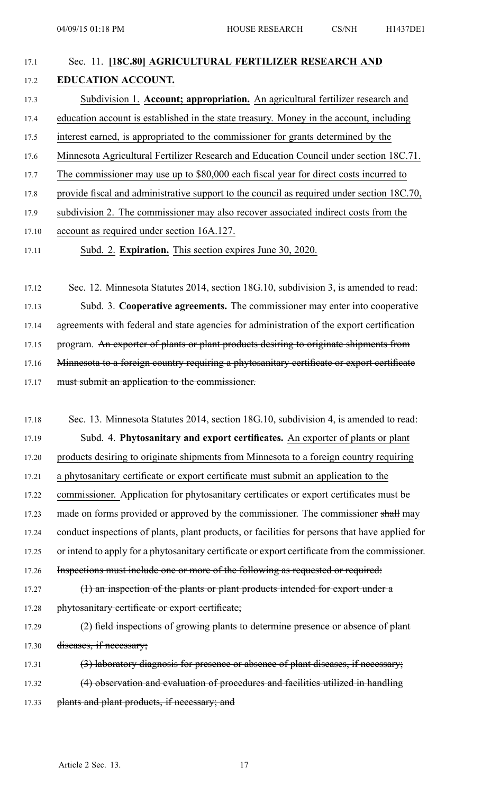| 17.1 | Sec. 11. [18C.80] AGRICULTURAL FERTILIZER RESEARCH AND                                     |
|------|--------------------------------------------------------------------------------------------|
| 17.2 | <b>EDUCATION ACCOUNT.</b>                                                                  |
| 17.3 | Subdivision 1. Account; appropriation. An agricultural fertilizer research and             |
| 17.4 | education account is established in the state treasury. Money in the account, including    |
| 17.5 | interest earned, is appropriated to the commissioner for grants determined by the          |
| 17.6 | Minnesota Agricultural Fertilizer Research and Education Council under section 18C.71.     |
| 17.7 | The commissioner may use up to \$80,000 each fiscal year for direct costs incurred to      |
| 17.8 | provide fiscal and administrative support to the council as required under section 18C.70, |
| 17.9 | subdivision 2. The commissioner may also recover associated indirect costs from the        |
|      |                                                                                            |

- 17.10 account as required under section 16A.127.
- 17.11 Subd. 2. **Expiration.** This section expires June 30, 2020.

17.12 Sec. 12. Minnesota Statutes 2014, section 18G.10, subdivision 3, is amended to read: 17.13 Subd. 3. **Cooperative agreements.** The commissioner may enter into cooperative 17.14 agreements with federal and state agencies for administration of the expor<sup>t</sup> certification 17.15 program. An exporter of plants or plant products desiring to originate shipments from 17.16 Minnesota to a foreign country requiring a phytosanitary certificate or export certificate 17.17 must submit an application to the commissioner.

17.18 Sec. 13. Minnesota Statutes 2014, section 18G.10, subdivision 4, is amended to read: 17.19 Subd. 4. **Phytosanitary and expor<sup>t</sup> certificates.** An exporter of plants or plant 17.20 products desiring to originate shipments from Minnesota to <sup>a</sup> foreign country requiring 17.21 <sup>a</sup> phytosanitary certificate or expor<sup>t</sup> certificate must submit an application to the 17.22 commissioner. Application for phytosanitary certificates or expor<sup>t</sup> certificates must be 17.23 made on forms provided or approved by the commissioner. The commissioner shall may 17.24 conduct inspections of plants, plant products, or facilities for persons that have applied for 17.25 or intend to apply for <sup>a</sup> phytosanitary certificate or expor<sup>t</sup> certificate from the commissioner. 17.26 Inspections must include one or more of the following as requested or required: 17.27 (1) an inspection of the plants or plant products intended for expor<sup>t</sup> under <sup>a</sup> 17.28 phytosanitary certificate or export certificate; 17.29 (2) field inspections of growing plants to determine presence or absence of plant 17.30 diseases, if necessary; 17.31 (3) laboratory diagnosis for presence or absence of plant diseases, if necessary;

17.32 (4) observation and evaluation of procedures and facilities utilized in handling 17.33 plants and plant products, if necessary; and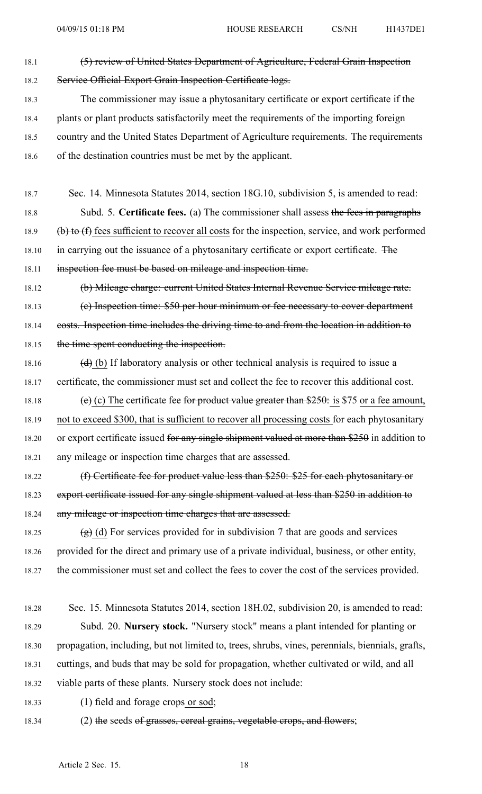- 18.1 (5) review of United States Department of Agriculture, Federal Grain Inspection 18.2 Service Official Export Grain Inspection Certificate logs.
- 18.3 The commissioner may issue <sup>a</sup> phytosanitary certificate or expor<sup>t</sup> certificate if the 18.4 plants or plant products satisfactorily meet the requirements of the importing foreign 18.5 country and the United States Department of Agriculture requirements. The requirements 18.6 of the destination countries must be met by the applicant.
- 18.7 Sec. 14. Minnesota Statutes 2014, section 18G.10, subdivision 5, is amended to read: 18.8 Subd. 5. **Certificate fees.** (a) The commissioner shall assess the fees in paragraphs 18.9 (b) to (f) fees sufficient to recover all costs for the inspection, service, and work performed 18.10 in carrying out the issuance of a phytosanitary certificate or export certificate. The 18.11 inspection fee must be based on mileage and inspection time.
- 18.12 (b) Mileage charge: current United States Internal Revenue Service mileage rate. 18.13 (e) Inspection time: \$50 per hour minimum or fee necessary to cover department 18.14 costs. Inspection time includes the driving time to and from the location in addition to 18.15 the time spent conducting the inspection.
- 18.16 (d) (b) If laboratory analysis or other technical analysis is required to issue a 18.17 certificate, the commissioner must set and collect the fee to recover this additional cost.
- 18.18 (e) (c) The certificate fee for product value greater than \$250: is \$75 or a fee amount, 18.19 not to exceed \$300, that is sufficient to recover all processing costs for each phytosanitary 18.20 or export certificate issued for any single shipment valued at more than \$250 in addition to 18.21 any mileage or inspection time charges that are assessed.
- 18.22 (f) Certificate fee for product value less than \$250: \$25 for each phytosanitary or 18.23 export certificate issued for any single shipment valued at less than \$250 in addition to 18.24 any mileage or inspection time charges that are assessed.
- 18.25 (g) (d) For services provided for in subdivision 7 that are goods and services 18.26 provided for the direct and primary use of <sup>a</sup> private individual, business, or other entity, 18.27 the commissioner must set and collect the fees to cover the cost of the services provided.
- 18.28 Sec. 15. Minnesota Statutes 2014, section 18H.02, subdivision 20, is amended to read: 18.29 Subd. 20. **Nursery stock.** "Nursery stock" means <sup>a</sup> plant intended for planting or 18.30 propagation, including, but not limited to, trees, shrubs, vines, perennials, biennials, grafts, 18.31 cuttings, and buds that may be sold for propagation, whether cultivated or wild, and all 18.32 viable parts of these plants. Nursery stock does not include:
- 18.33 (1) field and forage crops or sod;
- 18.34 (2) the seeds of grasses, cereal grains, vegetable crops, and flowers;

Article 2 Sec. 15. 18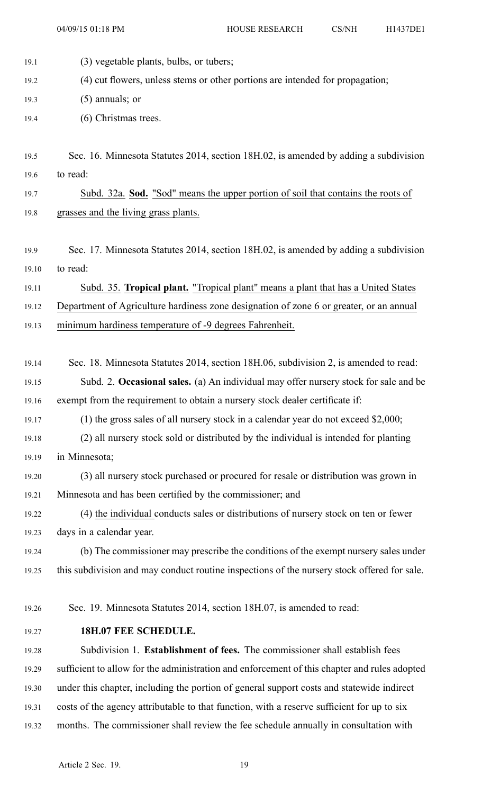04/09/15 01:18 PM HOUSE RESEARCH CS/NH H1437DE1

19.1 (3) vegetable plants, bulbs, or tubers;

19.2 (4) cut flowers, unless stems or other portions are intended for propagation;

19.3 (5) annuals; or

- 19.4 (6) Christmas trees.
- 19.5 Sec. 16. Minnesota Statutes 2014, section 18H.02, is amended by adding <sup>a</sup> subdivision 19.6 to read:
- 19.7 Subd. 32a. **Sod.** "Sod" means the upper portion of soil that contains the roots of 19.8 grasses and the living grass plants.
- 19.9 Sec. 17. Minnesota Statutes 2014, section 18H.02, is amended by adding <sup>a</sup> subdivision 19.10 to read:

19.11 Subd. 35. **Tropical plant.** "Tropical plant" means <sup>a</sup> plant that has <sup>a</sup> United States 19.12 Department of Agriculture hardiness zone designation of zone 6 or greater, or an annual

- 19.13 minimum hardiness temperature of -9 degrees Fahrenheit.
- 19.14 Sec. 18. Minnesota Statutes 2014, section 18H.06, subdivision 2, is amended to read: 19.15 Subd. 2. **Occasional sales.** (a) An individual may offer nursery stock for sale and be 19.16 exempt from the requirement to obtain a nursery stock dealer certificate if:
- 19.17 (1) the gross sales of all nursery stock in <sup>a</sup> calendar year do not exceed \$2,000;
- 19.18 (2) all nursery stock sold or distributed by the individual is intended for planting 19.19 in Minnesota;
- 19.20 (3) all nursery stock purchased or procured for resale or distribution was grown in 19.21 Minnesota and has been certified by the commissioner; and
- 19.22 (4) the individual conducts sales or distributions of nursery stock on ten or fewer 19.23 days in <sup>a</sup> calendar year.
- 19.24 (b) The commissioner may prescribe the conditions of the exemp<sup>t</sup> nursery sales under 19.25 this subdivision and may conduct routine inspections of the nursery stock offered for sale.
- 19.26 Sec. 19. Minnesota Statutes 2014, section 18H.07, is amended to read:
- 19.27 **18H.07 FEE SCHEDULE.**

19.28 Subdivision 1. **Establishment of fees.** The commissioner shall establish fees 19.29 sufficient to allow for the administration and enforcement of this chapter and rules adopted 19.30 under this chapter, including the portion of general suppor<sup>t</sup> costs and statewide indirect 19.31 costs of the agency attributable to that function, with <sup>a</sup> reserve sufficient for up to six 19.32 months. The commissioner shall review the fee schedule annually in consultation with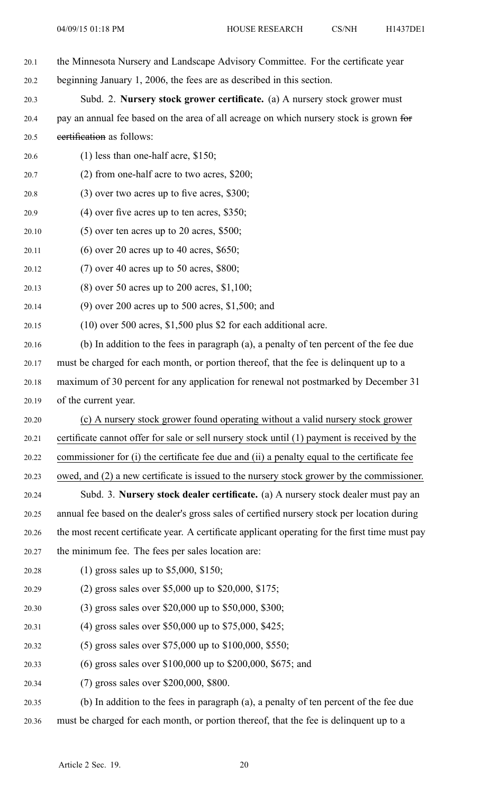- 20.1 the Minnesota Nursery and Landscape Advisory Committee. For the certificate year 20.2 beginning January 1, 2006, the fees are as described in this section.
- 20.3 Subd. 2. **Nursery stock grower certificate.** (a) A nursery stock grower must 20.4 pay an annual fee based on the area of all acreage on which nursery stock is grown for

20.5 certification as follows:

- 20.6 (1) less than one-half acre, \$150;
- 20.7 (2) from one-half acre to two acres, \$200;
- 20.8 (3) over two acres up to five acres, \$300;
- 20.9 (4) over five acres up to ten acres, \$350;
- $20.10$  (5) over ten acres up to 20 acres, \$500;
- 20.11 (6) over 20 acres up to 40 acres, \$650;
- 20.12 (7) over 40 acres up to 50 acres, \$800;
- 20.13 (8) over 50 acres up to 200 acres, \$1,100;
- 20.14 (9) over 200 acres up to 500 acres, \$1,500; and
- 20.15 (10) over 500 acres, \$1,500 plus \$2 for each additional acre.
- 20.16 (b) In addition to the fees in paragraph (a), <sup>a</sup> penalty of ten percen<sup>t</sup> of the fee due 20.17 must be charged for each month, or portion thereof, that the fee is delinquent up to <sup>a</sup> 20.18 maximum of 30 percen<sup>t</sup> for any application for renewal not postmarked by December 31 20.19 of the current year.
- 20.20 (c) A nursery stock grower found operating without <sup>a</sup> valid nursery stock grower 20.21 certificate cannot offer for sale or sell nursery stock until (1) paymen<sup>t</sup> is received by the 20.22 commissioner for (i) the certificate fee due and (ii) <sup>a</sup> penalty equal to the certificate fee
- 20.23 owed, and (2) <sup>a</sup> new certificate is issued to the nursery stock grower by the commissioner.
- 20.24 Subd. 3. **Nursery stock dealer certificate.** (a) A nursery stock dealer must pay an 20.25 annual fee based on the dealer's gross sales of certified nursery stock per location during 20.26 the most recent certificate year. A certificate applicant operating for the first time must pay 20.27 the minimum fee. The fees per sales location are:
- 20.28 (1) gross sales up to \$5,000, \$150;
- 20.29 (2) gross sales over \$5,000 up to \$20,000, \$175;
- 20.30 (3) gross sales over \$20,000 up to \$50,000, \$300;
- 20.31 (4) gross sales over \$50,000 up to \$75,000, \$425;
- 20.32 (5) gross sales over \$75,000 up to \$100,000, \$550;
- 20.33 (6) gross sales over \$100,000 up to \$200,000, \$675; and
- 20.34 (7) gross sales over \$200,000, \$800.
- 20.35 (b) In addition to the fees in paragraph (a), <sup>a</sup> penalty of ten percen<sup>t</sup> of the fee due 20.36 must be charged for each month, or portion thereof, that the fee is delinquent up to <sup>a</sup>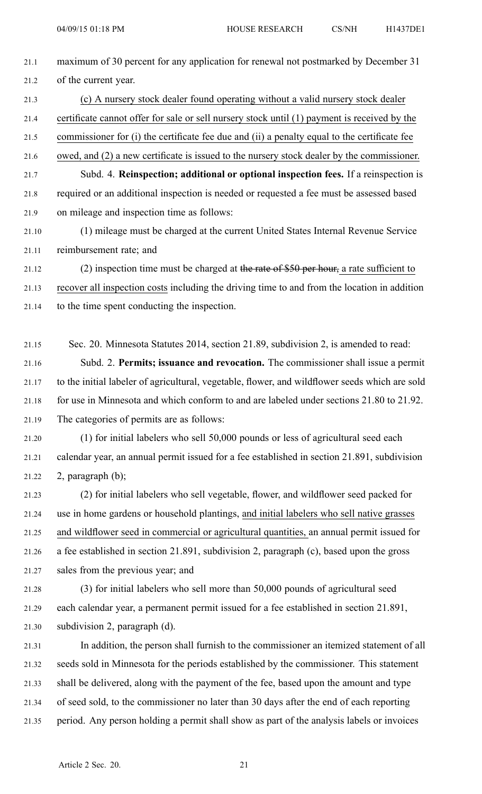- 21.1 maximum of 30 percen<sup>t</sup> for any application for renewal not postmarked by December 31 21.2 of the current year. 21.3 (c) A nursery stock dealer found operating without <sup>a</sup> valid nursery stock dealer
- 21.4 certificate cannot offer for sale or sell nursery stock until (1) paymen<sup>t</sup> is received by the
- 21.5 commissioner for (i) the certificate fee due and (ii) <sup>a</sup> penalty equal to the certificate fee
- 21.6 owed, and (2) <sup>a</sup> new certificate is issued to the nursery stock dealer by the commissioner.

21.7 Subd. 4. **Reinspection; additional or optional inspection fees.** If <sup>a</sup> reinspection is 21.8 required or an additional inspection is needed or requested <sup>a</sup> fee must be assessed based 21.9 on mileage and inspection time as follows:

21.10 (1) mileage must be charged at the current United States Internal Revenue Service 21.11 reimbursement rate; and

21.12 (2) inspection time must be charged at the rate of \$50 per hour, a rate sufficient to 21.13 recover all inspection costs including the driving time to and from the location in addition

21.14 to the time spen<sup>t</sup> conducting the inspection.

21.15 Sec. 20. Minnesota Statutes 2014, section 21.89, subdivision 2, is amended to read:

21.16 Subd. 2. **Permits; issuance and revocation.** The commissioner shall issue <sup>a</sup> permit 21.17 to the initial labeler of agricultural, vegetable, flower, and wildflower seeds which are sold 21.18 for use in Minnesota and which conform to and are labeled under sections 21.80 to 21.92. 21.19 The categories of permits are as follows:

21.20 (1) for initial labelers who sell 50,000 pounds or less of agricultural seed each 21.21 calendar year, an annual permit issued for <sup>a</sup> fee established in section 21.891, subdivision 21.22 2, paragraph (b);

21.23 (2) for initial labelers who sell vegetable, flower, and wildflower seed packed for 21.24 use in home gardens or household plantings, and initial labelers who sell native grasses 21.25 and wildflower seed in commercial or agricultural quantities, an annual permit issued for 21.26 <sup>a</sup> fee established in section 21.891, subdivision 2, paragraph (c), based upon the gross 21.27 sales from the previous year; and

21.28 (3) for initial labelers who sell more than 50,000 pounds of agricultural seed 21.29 each calendar year, <sup>a</sup> permanen<sup>t</sup> permit issued for <sup>a</sup> fee established in section 21.891, 21.30 subdivision 2, paragraph (d).

21.31 In addition, the person shall furnish to the commissioner an itemized statement of all 21.32 seeds sold in Minnesota for the periods established by the commissioner. This statement 21.33 shall be delivered, along with the paymen<sup>t</sup> of the fee, based upon the amount and type 21.34 of seed sold, to the commissioner no later than 30 days after the end of each reporting 21.35 period. Any person holding <sup>a</sup> permit shall show as par<sup>t</sup> of the analysis labels or invoices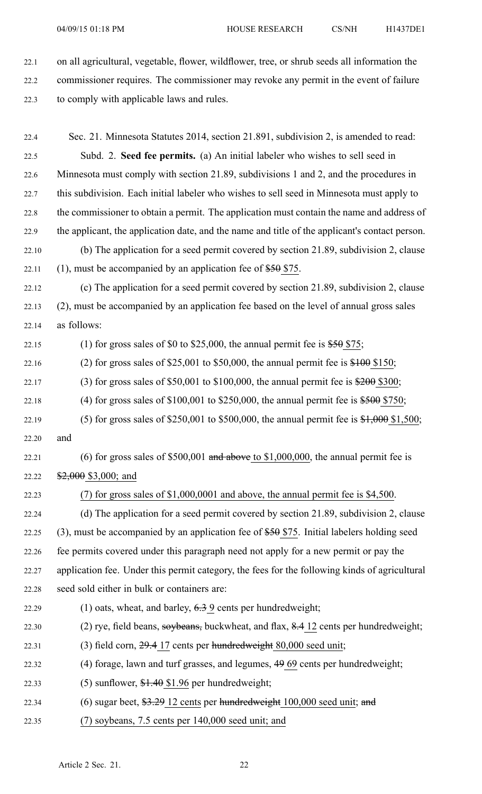22.1 on all agricultural, vegetable, flower, wildflower, tree, or shrub seeds all information the 22.2 commissioner requires. The commissioner may revoke any permit in the event of failure 22.3 to comply with applicable laws and rules.

22.4 Sec. 21. Minnesota Statutes 2014, section 21.891, subdivision 2, is amended to read: 22.5 Subd. 2. **Seed fee permits.** (a) An initial labeler who wishes to sell seed in 22.6 Minnesota must comply with section 21.89, subdivisions 1 and 2, and the procedures in 22.7 this subdivision. Each initial labeler who wishes to sell seed in Minnesota must apply to 22.8 the commissioner to obtain <sup>a</sup> permit. The application must contain the name and address of 22.9 the applicant, the application date, and the name and title of the applicant's contact person. 22.10 (b) The application for <sup>a</sup> seed permit covered by section 21.89, subdivision 2, clause 22.11 (1), must be accompanied by an application fee of  $$50$  \$75. 22.12 (c) The application for <sup>a</sup> seed permit covered by section 21.89, subdivision 2, clause 22.13 (2), must be accompanied by an application fee based on the level of annual gross sales 22.14 as follows: 22.15 (1) for gross sales of \$0 to \$25,000, the annual permit fee is  $$50$  \$75; 22.16 (2) for gross sales of \$25,001 to \$50,000, the annual permit fee is \$100 \$150; 22.17 (3) for gross sales of \$50,001 to \$100,000, the annual permit fee is \$200 \$300; 22.18 (4) for gross sales of  $$100,001$  to  $$250,000$ , the annual permit fee is  $$500 $750$ ; 22.19 (5) for gross sales of \$250,001 to \$500,000, the annual permit fee is  $\frac{$1,000}{$1,500}$ ; 22.20 and 22.21 (6) for gross sales of  $$500,001$  and above to  $$1,000,000$ , the annual permit fee is 22.22 \$2,000 \$3,000; and 22.23 (7) for gross sales of \$1,000,0001 and above, the annual permit fee is \$4,500. 22.24 (d) The application for <sup>a</sup> seed permit covered by section 21.89, subdivision 2, clause 22.25 (3), must be accompanied by an application fee of \$50 \$75. Initial labelers holding seed 22.26 fee permits covered under this paragraph need not apply for <sup>a</sup> new permit or pay the 22.27 application fee. Under this permit category, the fees for the following kinds of agricultural 22.28 seed sold either in bulk or containers are: 22.29 (1) oats, wheat, and barley, 6.3 9 cents per hundredweight; 22.30 (2) rye, field beans, soybeans, buckwheat, and flax, 8.4 12 cents per hundredweight; 22.31 (3) field corn,  $29.4$  17 cents per hundredweight 80,000 seed unit; 22.32 (4) forage, lawn and turf grasses, and legumes, 49 69 cents per hundredweight; 22.33 (5) sunflower,  $$1.40$  \$1.96 per hundredweight; 22.34 (6) sugar beet, \$3.29 12 cents per hundredweight 100,000 seed unit; and 22.35 (7) soybeans, 7.5 cents per 140,000 seed unit; and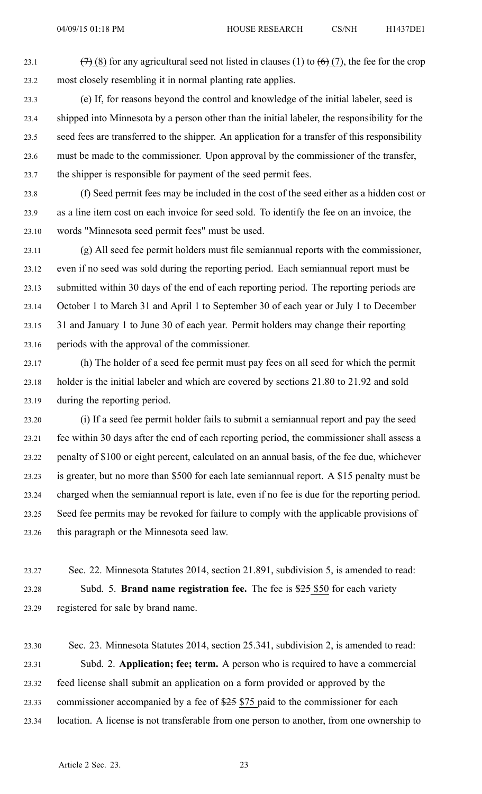23.1 (7) (8) for any agricultural seed not listed in clauses (1) to  $(6)$  (7), the fee for the crop 23.2 most closely resembling it in normal planting rate applies.

23.3 (e) If, for reasons beyond the control and knowledge of the initial labeler, seed is 23.4 shipped into Minnesota by <sup>a</sup> person other than the initial labeler, the responsibility for the 23.5 seed fees are transferred to the shipper. An application for <sup>a</sup> transfer of this responsibility 23.6 must be made to the commissioner. Upon approval by the commissioner of the transfer, 23.7 the shipper is responsible for paymen<sup>t</sup> of the seed permit fees.

23.8 (f) Seed permit fees may be included in the cost of the seed either as <sup>a</sup> hidden cost or 23.9 as <sup>a</sup> line item cost on each invoice for seed sold. To identify the fee on an invoice, the 23.10 words "Minnesota seed permit fees" must be used.

23.11 (g) All seed fee permit holders must file semiannual reports with the commissioner, 23.12 even if no seed was sold during the reporting period. Each semiannual repor<sup>t</sup> must be 23.13 submitted within 30 days of the end of each reporting period. The reporting periods are 23.14 October 1 to March 31 and April 1 to September 30 of each year or July 1 to December 23.15 31 and January 1 to June 30 of each year. Permit holders may change their reporting 23.16 periods with the approval of the commissioner.

23.17 (h) The holder of <sup>a</sup> seed fee permit must pay fees on all seed for which the permit 23.18 holder is the initial labeler and which are covered by sections 21.80 to 21.92 and sold 23.19 during the reporting period.

23.20 (i) If <sup>a</sup> seed fee permit holder fails to submit <sup>a</sup> semiannual repor<sup>t</sup> and pay the seed 23.21 fee within 30 days after the end of each reporting period, the commissioner shall assess <sup>a</sup> 23.22 penalty of \$100 or eight percent, calculated on an annual basis, of the fee due, whichever 23.23 is greater, but no more than \$500 for each late semiannual report. A \$15 penalty must be 23.24 charged when the semiannual repor<sup>t</sup> is late, even if no fee is due for the reporting period. 23.25 Seed fee permits may be revoked for failure to comply with the applicable provisions of 23.26 this paragraph or the Minnesota seed law.

23.27 Sec. 22. Minnesota Statutes 2014, section 21.891, subdivision 5, is amended to read: 23.28 Subd. 5. **Brand name registration fee.** The fee is \$25 \$50 for each variety 23.29 registered for sale by brand name.

23.30 Sec. 23. Minnesota Statutes 2014, section 25.341, subdivision 2, is amended to read: 23.31 Subd. 2. **Application; fee; term.** A person who is required to have <sup>a</sup> commercial 23.32 feed license shall submit an application on <sup>a</sup> form provided or approved by the 23.33 commissioner accompanied by <sup>a</sup> fee of \$25 \$75 paid to the commissioner for each 23.34 location. A license is not transferable from one person to another, from one ownership to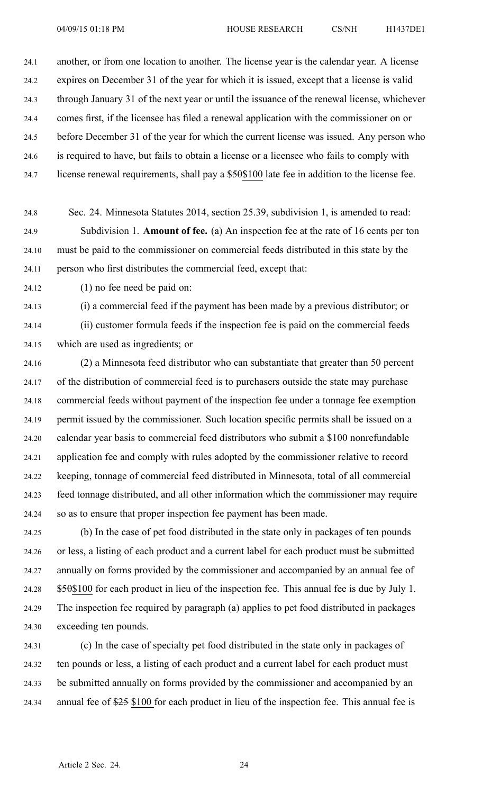24.1 another, or from one location to another. The license year is the calendar year. A license 24.2 expires on December 31 of the year for which it is issued, excep<sup>t</sup> that <sup>a</sup> license is valid 24.3 through January 31 of the next year or until the issuance of the renewal license, whichever 24.4 comes first, if the licensee has filed <sup>a</sup> renewal application with the commissioner on or 24.5 before December 31 of the year for which the current license was issued. Any person who 24.6 is required to have, but fails to obtain <sup>a</sup> license or <sup>a</sup> licensee who fails to comply with 24.7 license renewal requirements, shall pay a \$50\$100 late fee in addition to the license fee.

- 24.8 Sec. 24. Minnesota Statutes 2014, section 25.39, subdivision 1, is amended to read: 24.9 Subdivision 1. **Amount of fee.** (a) An inspection fee at the rate of 16 cents per ton 24.10 must be paid to the commissioner on commercial feeds distributed in this state by the 24.11 person who first distributes the commercial feed, excep<sup>t</sup> that:
- 24.12 (1) no fee need be paid on:

24.13 (i) <sup>a</sup> commercial feed if the paymen<sup>t</sup> has been made by <sup>a</sup> previous distributor; or

24.14 (ii) customer formula feeds if the inspection fee is paid on the commercial feeds 24.15 which are used as ingredients; or

24.16 (2) <sup>a</sup> Minnesota feed distributor who can substantiate that greater than 50 percen<sup>t</sup> 24.17 of the distribution of commercial feed is to purchasers outside the state may purchase 24.18 commercial feeds without paymen<sup>t</sup> of the inspection fee under <sup>a</sup> tonnage fee exemption 24.19 permit issued by the commissioner. Such location specific permits shall be issued on <sup>a</sup> 24.20 calendar year basis to commercial feed distributors who submit <sup>a</sup> \$100 nonrefundable 24.21 application fee and comply with rules adopted by the commissioner relative to record 24.22 keeping, tonnage of commercial feed distributed in Minnesota, total of all commercial 24.23 feed tonnage distributed, and all other information which the commissioner may require 24.24 so as to ensure that proper inspection fee paymen<sup>t</sup> has been made.

24.25 (b) In the case of pe<sup>t</sup> food distributed in the state only in packages of ten pounds 24.26 or less, <sup>a</sup> listing of each product and <sup>a</sup> current label for each product must be submitted 24.27 annually on forms provided by the commissioner and accompanied by an annual fee of 24.28 \$50\$100 for each product in lieu of the inspection fee. This annual fee is due by July 1. 24.29 The inspection fee required by paragraph (a) applies to pe<sup>t</sup> food distributed in packages 24.30 exceeding ten pounds.

24.31 (c) In the case of specialty pe<sup>t</sup> food distributed in the state only in packages of 24.32 ten pounds or less, <sup>a</sup> listing of each product and <sup>a</sup> current label for each product must 24.33 be submitted annually on forms provided by the commissioner and accompanied by an 24.34 annual fee of \$25 \$100 for each product in lieu of the inspection fee. This annual fee is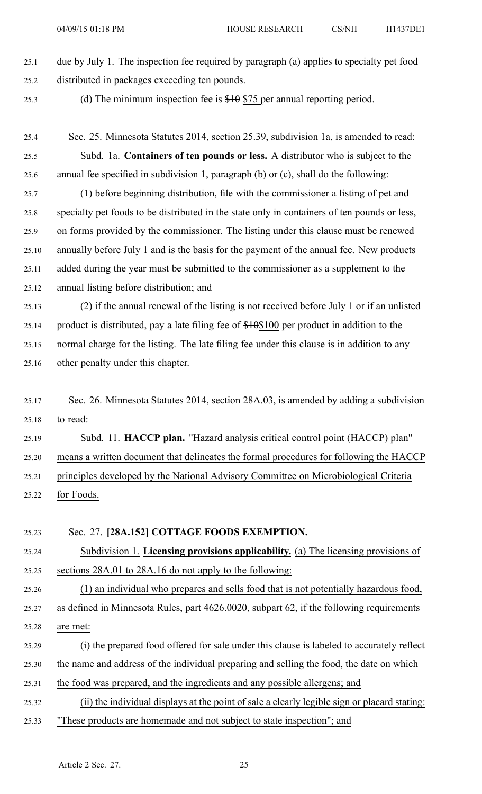## 25.1 due by July 1. The inspection fee required by paragraph (a) applies to specialty pe<sup>t</sup> food 25.2 distributed in packages exceeding ten pounds.

25.3 (d) The minimum inspection fee is \$10 \$75 per annual reporting period.

- 25.4 Sec. 25. Minnesota Statutes 2014, section 25.39, subdivision 1a, is amended to read: 25.5 Subd. 1a. **Containers of ten pounds or less.** A distributor who is subject to the 25.6 annual fee specified in subdivision 1, paragraph (b) or (c), shall do the following:
- 25.7 (1) before beginning distribution, file with the commissioner <sup>a</sup> listing of pe<sup>t</sup> and 25.8 specialty pe<sup>t</sup> foods to be distributed in the state only in containers of ten pounds or less, 25.9 on forms provided by the commissioner. The listing under this clause must be renewed 25.10 annually before July 1 and is the basis for the paymen<sup>t</sup> of the annual fee. New products 25.11 added during the year must be submitted to the commissioner as <sup>a</sup> supplement to the 25.12 annual listing before distribution; and
- 25.13 (2) if the annual renewal of the listing is not received before July 1 or if an unlisted 25.14 product is distributed, pay a late filing fee of  $$100$  per product in addition to the 25.15 normal charge for the listing. The late filing fee under this clause is in addition to any 25.16 other penalty under this chapter.
- 25.17 Sec. 26. Minnesota Statutes 2014, section 28A.03, is amended by adding <sup>a</sup> subdivision 25.18 to read:

25.19 Subd. 11. **HACCP plan.** "Hazard analysis critical control point (HACCP) plan" 25.20 means <sup>a</sup> written document that delineates the formal procedures for following the HACCP 25.21 principles developed by the National Advisory Committee on Microbiological Criteria 25.22 for Foods.

#### 25.23 Sec. 27. **[28A.152] COTTAGE FOODS EXEMPTION.**

25.24 Subdivision 1. **Licensing provisions applicability.** (a) The licensing provisions of 25.25 sections 28A.01 to 28A.16 do not apply to the following:

- 25.26 (1) an individual who prepares and sells food that is not potentially hazardous food, 25.27 as defined in Minnesota Rules, par<sup>t</sup> 4626.0020, subpart 62, if the following requirements 25.28 are met:
- 25.29 (i) the prepared food offered for sale under this clause is labeled to accurately reflect
- 25.30 the name and address of the individual preparing and selling the food, the date on which
- 25.31 the food was prepared, and the ingredients and any possible allergens; and
- 25.32 (ii) the individual displays at the point of sale <sup>a</sup> clearly legible sign or placard stating: 25.33 "These products are homemade and not subject to state inspection"; and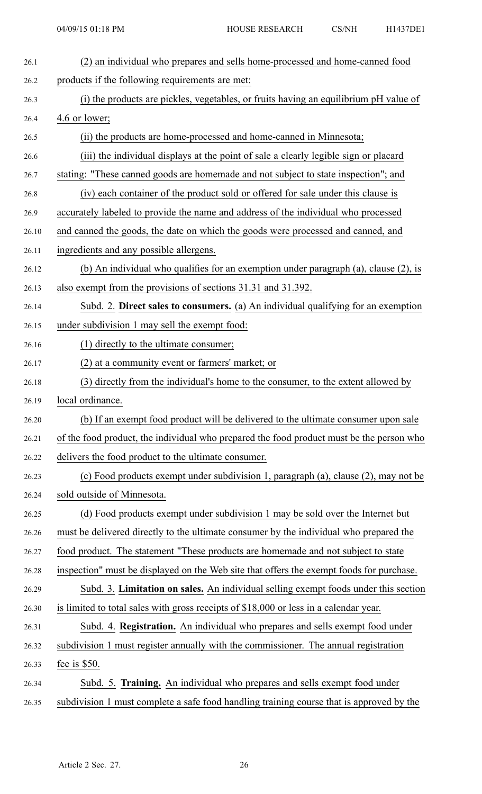| 26.1  | (2) an individual who prepares and sells home-processed and home-canned food             |
|-------|------------------------------------------------------------------------------------------|
| 26.2  | products if the following requirements are met:                                          |
| 26.3  | (i) the products are pickles, vegetables, or fruits having an equilibrium pH value of    |
| 26.4  | 4.6 or lower;                                                                            |
| 26.5  | (ii) the products are home-processed and home-canned in Minnesota;                       |
| 26.6  | (iii) the individual displays at the point of sale a clearly legible sign or placard     |
| 26.7  | stating: "These canned goods are homemade and not subject to state inspection"; and      |
| 26.8  | (iv) each container of the product sold or offered for sale under this clause is         |
| 26.9  | accurately labeled to provide the name and address of the individual who processed       |
| 26.10 | and canned the goods, the date on which the goods were processed and canned, and         |
| 26.11 | ingredients and any possible allergens.                                                  |
| 26.12 | (b) An individual who qualifies for an exemption under paragraph (a), clause (2), is     |
| 26.13 | also exempt from the provisions of sections 31.31 and 31.392.                            |
| 26.14 | Subd. 2. Direct sales to consumers. (a) An individual qualifying for an exemption        |
| 26.15 | under subdivision 1 may sell the exempt food:                                            |
| 26.16 | (1) directly to the ultimate consumer;                                                   |
| 26.17 | (2) at a community event or farmers' market; or                                          |
| 26.18 | (3) directly from the individual's home to the consumer, to the extent allowed by        |
| 26.19 | local ordinance.                                                                         |
| 26.20 | (b) If an exempt food product will be delivered to the ultimate consumer upon sale       |
| 26.21 | of the food product, the individual who prepared the food product must be the person who |
| 26.22 | delivers the food product to the ultimate consumer.                                      |
| 26.23 | (c) Food products exempt under subdivision 1, paragraph (a), clause (2), may not be      |
| 26.24 | sold outside of Minnesota.                                                               |
| 26.25 | (d) Food products exempt under subdivision 1 may be sold over the Internet but           |
| 26.26 | must be delivered directly to the ultimate consumer by the individual who prepared the   |
| 26.27 | food product. The statement "These products are homemade and not subject to state        |
| 26.28 | inspection" must be displayed on the Web site that offers the exempt foods for purchase. |
| 26.29 | Subd. 3. Limitation on sales. An individual selling exempt foods under this section      |
| 26.30 | is limited to total sales with gross receipts of \$18,000 or less in a calendar year.    |
| 26.31 | Subd. 4. Registration. An individual who prepares and sells exempt food under            |
| 26.32 | subdivision 1 must register annually with the commissioner. The annual registration      |
| 26.33 | fee is $$50.$                                                                            |
| 26.34 | Subd. 5. Training. An individual who prepares and sells exempt food under                |
| 26.35 | subdivision 1 must complete a safe food handling training course that is approved by the |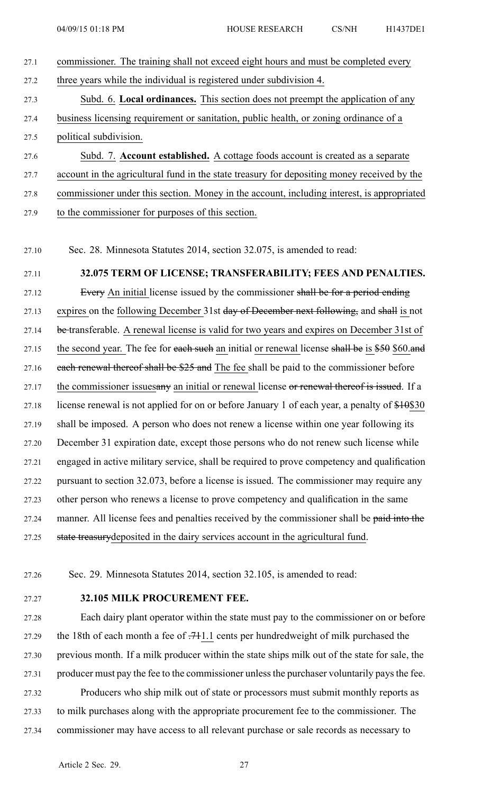- 27.1 commissioner. The training shall not exceed eight hours and must be completed every 27.2 three years while the individual is registered under subdivision 4. 27.3 Subd. 6. **Local ordinances.** This section does not preemp<sup>t</sup> the application of any 27.4 business licensing requirement or sanitation, public health, or zoning ordinance of <sup>a</sup> 27.5 political subdivision. 27.6 Subd. 7. **Account established.** A cottage foods account is created as <sup>a</sup> separate 27.7 account in the agricultural fund in the state treasury for depositing money received by the
- 27.8 commissioner under this section. Money in the account, including interest, is appropriated
- 27.9 to the commissioner for purposes of this section.
- 27.10 Sec. 28. Minnesota Statutes 2014, section 32.075, is amended to read:

# 27.11 **32.075 TERM OF LICENSE; TRANSFERABILITY; FEES AND PENALTIES.**

27.12 Every An initial license issued by the commissioner shall be for a period ending 27.13 expires on the following December 31st day of December next following, and shall is not 27.14 be transferable. A renewal license is valid for two years and expires on December 31st of 27.15 the second year. The fee for each such an initial or renewal license shall be is  $$50$  \$60.and 27.16 each renewal thereof shall be \$25 and The fee shall be paid to the commissioner before 27.17 the commissioner issuesany an initial or renewal license or renewal thereof is issued. If a 27.18 license renewal is not applied for on or before January 1 of each year, a penalty of \$10\$30 27.19 shall be imposed. A person who does not renew <sup>a</sup> license within one year following its 27.20 December 31 expiration date, excep<sup>t</sup> those persons who do not renew such license while 27.21 engaged in active military service, shall be required to prove competency and qualification 27.22 pursuan<sup>t</sup> to section 32.073, before <sup>a</sup> license is issued. The commissioner may require any 27.23 other person who renews <sup>a</sup> license to prove competency and qualification in the same 27.24 manner. All license fees and penalties received by the commissioner shall be paid into the 27.25 state treasurydeposited in the dairy services account in the agricultural fund.

- 27.26 Sec. 29. Minnesota Statutes 2014, section 32.105, is amended to read:
- 

### 27.27 **32.105 MILK PROCUREMENT FEE.**

27.28 Each dairy plant operator within the state must pay to the commissioner on or before 27.29 the 18th of each month <sup>a</sup> fee of .711.1 cents per hundredweight of milk purchased the 27.30 previous month. If <sup>a</sup> milk producer within the state ships milk out of the state for sale, the 27.31 producer must pay the fee to the commissioner unlessthe purchaser voluntarily paysthe fee. 27.32 Producers who ship milk out of state or processors must submit monthly reports as 27.33 to milk purchases along with the appropriate procuremen<sup>t</sup> fee to the commissioner. The 27.34 commissioner may have access to all relevant purchase or sale records as necessary to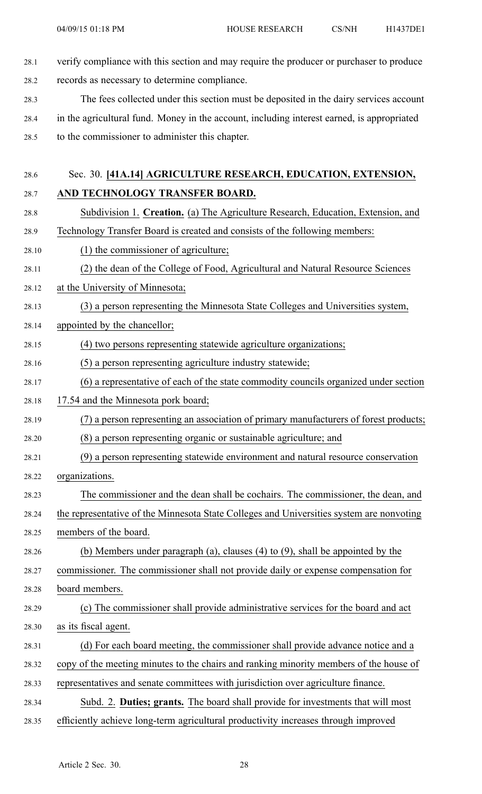- 28.1 verify compliance with this section and may require the producer or purchaser to produce 28.2 records as necessary to determine compliance.
- 28.3 The fees collected under this section must be deposited in the dairy services account 28.4 in the agricultural fund. Money in the account, including interest earned, is appropriated 28.5 to the commissioner to administer this chapter.
- 28.6 Sec. 30. **[41A.14] AGRICULTURE RESEARCH, EDUCATION, EXTENSION,** 28.7 **AND TECHNOLOGY TRANSFER BOARD.**
- 28.8 Subdivision 1. **Creation.** (a) The Agriculture Research, Education, Extension, and 28.9 Technology Transfer Board is created and consists of the following members:
- 28.10 (1) the commissioner of agriculture;
- 28.11 (2) the dean of the College of Food, Agricultural and Natural Resource Sciences
- 28.12 at the University of Minnesota;
- 28.13 (3) <sup>a</sup> person representing the Minnesota State Colleges and Universities system,
- 28.14 appointed by the chancellor;
- 28.15 (4) two persons representing statewide agriculture organizations;
- 28.16 (5) <sup>a</sup> person representing agriculture industry statewide;
- 28.17 (6) <sup>a</sup> representative of each of the state commodity councils organized under section
- 28.18 17.54 and the Minnesota pork board;
- 28.19 (7) <sup>a</sup> person representing an association of primary manufacturers of forest products;
- 28.20 (8) <sup>a</sup> person representing organic or sustainable agriculture; and
- 28.21 (9) <sup>a</sup> person representing statewide environment and natural resource conservation 28.22 organizations.
- 28.23 The commissioner and the dean shall be cochairs. The commissioner, the dean, and
- 28.24 the representative of the Minnesota State Colleges and Universities system are nonvoting 28.25 members of the board.
- 28.26 (b) Members under paragraph (a), clauses (4) to (9), shall be appointed by the
- 28.27 commissioner. The commissioner shall not provide daily or expense compensation for
- 28.28 board members.
- 28.29 (c) The commissioner shall provide administrative services for the board and act 28.30 as its fiscal agent.
- 28.31 (d) For each board meeting, the commissioner shall provide advance notice and <sup>a</sup>
- 28.32 copy of the meeting minutes to the chairs and ranking minority members of the house of
- 28.33 representatives and senate committees with jurisdiction over agriculture finance.
- 28.34 Subd. 2. **Duties; grants.** The board shall provide for investments that will most 28.35 efficiently achieve long-term agricultural productivity increases through improved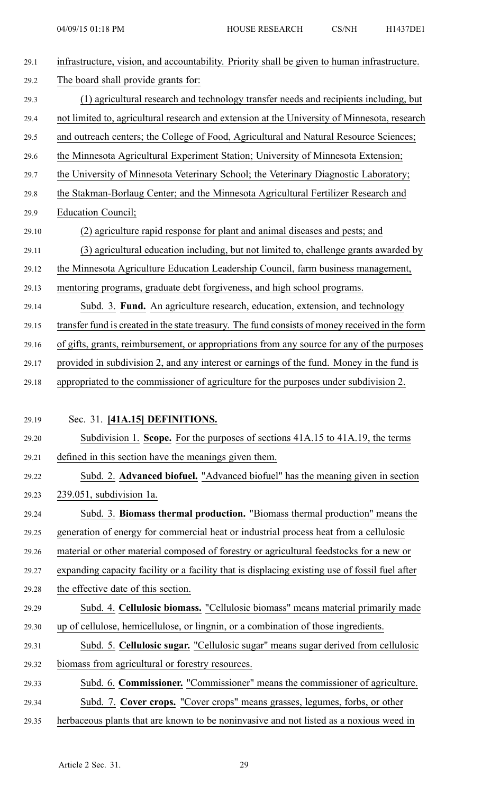| 29.1  | infrastructure, vision, and accountability. Priority shall be given to human infrastructure.    |
|-------|-------------------------------------------------------------------------------------------------|
| 29.2  | The board shall provide grants for:                                                             |
| 29.3  | (1) agricultural research and technology transfer needs and recipients including, but           |
| 29.4  | not limited to, agricultural research and extension at the University of Minnesota, research    |
| 29.5  | and outreach centers; the College of Food, Agricultural and Natural Resource Sciences;          |
| 29.6  | the Minnesota Agricultural Experiment Station; University of Minnesota Extension;               |
| 29.7  | the University of Minnesota Veterinary School; the Veterinary Diagnostic Laboratory;            |
| 29.8  | the Stakman-Borlaug Center; and the Minnesota Agricultural Fertilizer Research and              |
| 29.9  | Education Council;                                                                              |
| 29.10 | (2) agriculture rapid response for plant and animal diseases and pests; and                     |
| 29.11 | (3) agricultural education including, but not limited to, challenge grants awarded by           |
| 29.12 | the Minnesota Agriculture Education Leadership Council, farm business management,               |
| 29.13 | mentoring programs, graduate debt forgiveness, and high school programs.                        |
| 29.14 | Subd. 3. Fund. An agriculture research, education, extension, and technology                    |
| 29.15 | transfer fund is created in the state treasury. The fund consists of money received in the form |
| 29.16 | of gifts, grants, reimbursement, or appropriations from any source for any of the purposes      |
| 29.17 | provided in subdivision 2, and any interest or earnings of the fund. Money in the fund is       |
| 29.18 | appropriated to the commissioner of agriculture for the purposes under subdivision 2.           |
|       |                                                                                                 |
| 29.19 | Sec. 31. [41A.15] DEFINITIONS.                                                                  |
| 29.20 | Subdivision 1. Scope. For the purposes of sections 41A.15 to 41A.19, the terms                  |
| 29.21 | defined in this section have the meanings given them.                                           |
| 29.22 | Subd. 2. Advanced biofuel. "Advanced biofuel" has the meaning given in section                  |
| 29.23 | 239.051, subdivision 1a.                                                                        |
| 29.24 | Subd. 3. Biomass thermal production. "Biomass thermal production" means the                     |
| 29.25 | generation of energy for commercial heat or industrial process heat from a cellulosic           |
| 29.26 | material or other material composed of forestry or agricultural feedstocks for a new or         |
| 29.27 | expanding capacity facility or a facility that is displacing existing use of fossil fuel after  |
| 29.28 | the effective date of this section.                                                             |
| 29.29 | Subd. 4. Cellulosic biomass. "Cellulosic biomass" means material primarily made                 |
| 29.30 | up of cellulose, hemicellulose, or lingnin, or a combination of those ingredients.              |
| 29.31 | Subd. 5. Cellulosic sugar. "Cellulosic sugar" means sugar derived from cellulosic               |
| 29.32 | biomass from agricultural or forestry resources.                                                |
| 29.33 | Subd. 6. Commissioner. "Commissioner" means the commissioner of agriculture.                    |
| 29.34 | Subd. 7. Cover crops. "Cover crops" means grasses, legumes, forbs, or other                     |
| 29.35 | herbaceous plants that are known to be noninvasive and not listed as a noxious weed in          |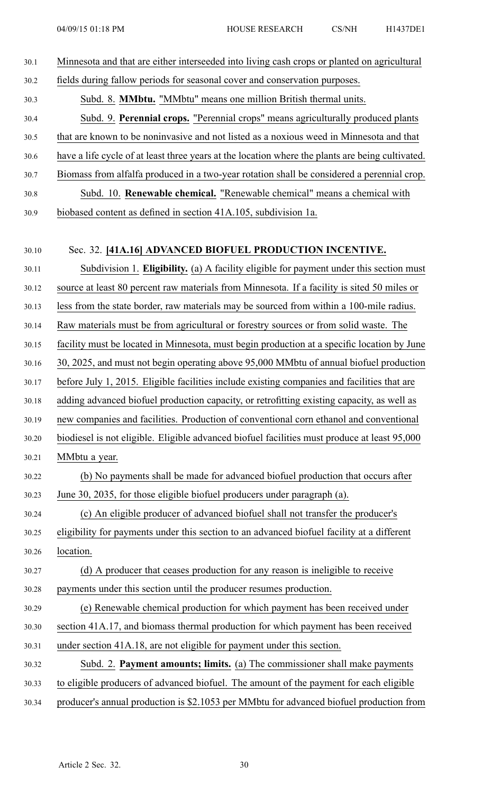| 30.1  | Minnesota and that are either interseeded into living cash crops or planted on agricultural      |
|-------|--------------------------------------------------------------------------------------------------|
| 30.2  | fields during fallow periods for seasonal cover and conservation purposes.                       |
| 30.3  | Subd. 8. MMbtu. "MMbtu" means one million British thermal units.                                 |
| 30.4  | Subd. 9. Perennial crops. "Perennial crops" means agriculturally produced plants                 |
| 30.5  | that are known to be noninvasive and not listed as a noxious weed in Minnesota and that          |
| 30.6  | have a life cycle of at least three years at the location where the plants are being cultivated. |
| 30.7  | Biomass from alfalfa produced in a two-year rotation shall be considered a perennial crop.       |
| 30.8  | Subd. 10. Renewable chemical. "Renewable chemical" means a chemical with                         |
| 30.9  | biobased content as defined in section 41A.105, subdivision 1a.                                  |
|       |                                                                                                  |
| 30.10 | Sec. 32. [41A.16] ADVANCED BIOFUEL PRODUCTION INCENTIVE.                                         |
| 30.11 | Subdivision 1. Eligibility. (a) A facility eligible for payment under this section must          |
| 30.12 | source at least 80 percent raw materials from Minnesota. If a facility is sited 50 miles or      |
| 30.13 | less from the state border, raw materials may be sourced from within a 100-mile radius.          |
| 30.14 | Raw materials must be from agricultural or forestry sources or from solid waste. The             |
| 30.15 | facility must be located in Minnesota, must begin production at a specific location by June      |
| 30.16 | 30, 2025, and must not begin operating above 95,000 MMbtu of annual biofuel production           |
| 30.17 | before July 1, 2015. Eligible facilities include existing companies and facilities that are      |
| 30.18 | adding advanced biofuel production capacity, or retrofitting existing capacity, as well as       |
| 30.19 | new companies and facilities. Production of conventional corn ethanol and conventional           |
| 30.20 | biodiesel is not eligible. Eligible advanced biofuel facilities must produce at least 95,000     |
| 30.21 | MMbtu a year.                                                                                    |
| 30.22 | (b) No payments shall be made for advanced biofuel production that occurs after                  |
| 30.23 | June 30, 2035, for those eligible biofuel producers under paragraph (a).                         |
| 30.24 | (c) An eligible producer of advanced biofuel shall not transfer the producer's                   |
| 30.25 | eligibility for payments under this section to an advanced biofuel facility at a different       |
| 30.26 | location.                                                                                        |
| 30.27 | (d) A producer that ceases production for any reason is ineligible to receive                    |
| 30.28 | payments under this section until the producer resumes production.                               |
| 30.29 | (e) Renewable chemical production for which payment has been received under                      |
| 30.30 | section 41A.17, and biomass thermal production for which payment has been received               |
| 30.31 | under section 41A.18, are not eligible for payment under this section.                           |
| 30.32 | Subd. 2. Payment amounts; limits. (a) The commissioner shall make payments                       |
| 30.33 | to eligible producers of advanced biofuel. The amount of the payment for each eligible           |
| 30.34 | producer's annual production is \$2.1053 per MMbtu for advanced biofuel production from          |
|       |                                                                                                  |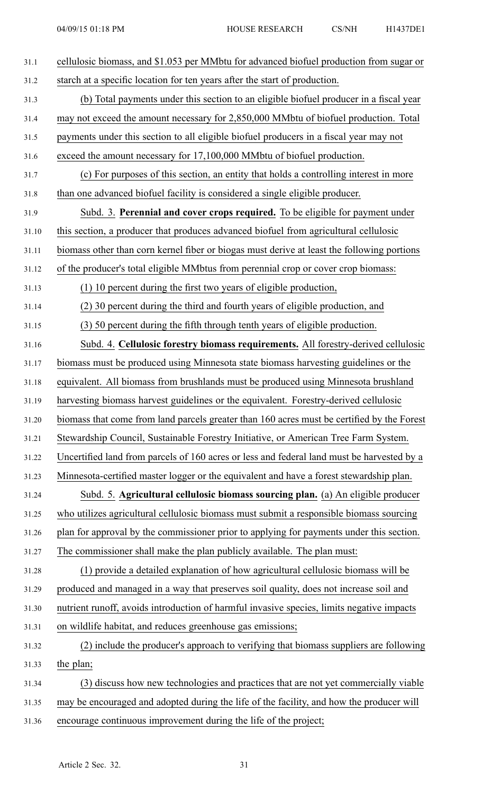| 31.1  | cellulosic biomass, and \$1.053 per MMbtu for advanced biofuel production from sugar or    |
|-------|--------------------------------------------------------------------------------------------|
| 31.2  | starch at a specific location for ten years after the start of production.                 |
| 31.3  | (b) Total payments under this section to an eligible biofuel producer in a fiscal year     |
| 31.4  | may not exceed the amount necessary for 2,850,000 MMbtu of biofuel production. Total       |
| 31.5  | payments under this section to all eligible biofuel producers in a fiscal year may not     |
| 31.6  | exceed the amount necessary for 17,100,000 MMbtu of biofuel production.                    |
| 31.7  | (c) For purposes of this section, an entity that holds a controlling interest in more      |
| 31.8  | than one advanced biofuel facility is considered a single eligible producer.               |
| 31.9  | Subd. 3. Perennial and cover crops required. To be eligible for payment under              |
| 31.10 | this section, a producer that produces advanced biofuel from agricultural cellulosic       |
| 31.11 | biomass other than corn kernel fiber or biogas must derive at least the following portions |
| 31.12 | of the producer's total eligible MMbtus from perennial crop or cover crop biomass:         |
| 31.13 | (1) 10 percent during the first two years of eligible production,                          |
| 31.14 | (2) 30 percent during the third and fourth years of eligible production, and               |
| 31.15 | (3) 50 percent during the fifth through tenth years of eligible production.                |
| 31.16 | Subd. 4. Cellulosic forestry biomass requirements. All forestry-derived cellulosic         |
| 31.17 | biomass must be produced using Minnesota state biomass harvesting guidelines or the        |
| 31.18 | equivalent. All biomass from brushlands must be produced using Minnesota brushland         |
| 31.19 | harvesting biomass harvest guidelines or the equivalent. Forestry-derived cellulosic       |
| 31.20 | biomass that come from land parcels greater than 160 acres must be certified by the Forest |
| 31.21 | Stewardship Council, Sustainable Forestry Initiative, or American Tree Farm System.        |
| 31.22 | Uncertified land from parcels of 160 acres or less and federal land must be harvested by a |
| 31.23 | Minnesota-certified master logger or the equivalent and have a forest stewardship plan.    |
| 31.24 | Subd. 5. Agricultural cellulosic biomass sourcing plan. (a) An eligible producer           |
| 31.25 | who utilizes agricultural cellulosic biomass must submit a responsible biomass sourcing    |
| 31.26 | plan for approval by the commissioner prior to applying for payments under this section.   |
| 31.27 | The commissioner shall make the plan publicly available. The plan must:                    |
| 31.28 | (1) provide a detailed explanation of how agricultural cellulosic biomass will be          |
| 31.29 | produced and managed in a way that preserves soil quality, does not increase soil and      |
| 31.30 | nutrient runoff, avoids introduction of harmful invasive species, limits negative impacts  |
| 31.31 | on wildlife habitat, and reduces greenhouse gas emissions;                                 |
| 31.32 | (2) include the producer's approach to verifying that biomass suppliers are following      |
| 31.33 | the plan;                                                                                  |
| 31.34 | (3) discuss how new technologies and practices that are not yet commercially viable        |
| 31.35 | may be encouraged and adopted during the life of the facility, and how the producer will   |
| 31.36 | encourage continuous improvement during the life of the project;                           |
|       |                                                                                            |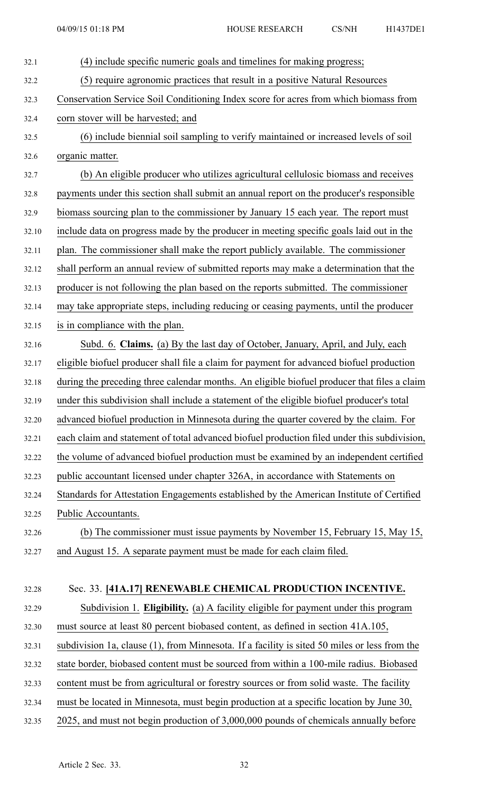| 32.1  | (4) include specific numeric goals and timelines for making progress;                        |
|-------|----------------------------------------------------------------------------------------------|
| 32.2  | (5) require agronomic practices that result in a positive Natural Resources                  |
| 32.3  | Conservation Service Soil Conditioning Index score for acres from which biomass from         |
| 32.4  | corn stover will be harvested; and                                                           |
| 32.5  | (6) include biennial soil sampling to verify maintained or increased levels of soil          |
| 32.6  | organic matter.                                                                              |
| 32.7  | (b) An eligible producer who utilizes agricultural cellulosic biomass and receives           |
| 32.8  | payments under this section shall submit an annual report on the producer's responsible      |
| 32.9  | biomass sourcing plan to the commissioner by January 15 each year. The report must           |
| 32.10 | include data on progress made by the producer in meeting specific goals laid out in the      |
| 32.11 | plan. The commissioner shall make the report publicly available. The commissioner            |
| 32.12 | shall perform an annual review of submitted reports may make a determination that the        |
| 32.13 | producer is not following the plan based on the reports submitted. The commissioner          |
| 32.14 | may take appropriate steps, including reducing or ceasing payments, until the producer       |
| 32.15 | is in compliance with the plan.                                                              |
| 32.16 | Subd. 6. Claims. (a) By the last day of October, January, April, and July, each              |
| 32.17 | eligible biofuel producer shall file a claim for payment for advanced biofuel production     |
| 32.18 | during the preceding three calendar months. An eligible biofuel producer that files a claim  |
| 32.19 | under this subdivision shall include a statement of the eligible biofuel producer's total    |
| 32.20 | advanced biofuel production in Minnesota during the quarter covered by the claim. For        |
| 32.21 | each claim and statement of total advanced biofuel production filed under this subdivision,  |
| 32.22 | the volume of advanced biofuel production must be examined by an independent certified       |
| 32.23 | public accountant licensed under chapter 326A, in accordance with Statements on              |
| 32.24 | Standards for Attestation Engagements established by the American Institute of Certified     |
| 32.25 | Public Accountants.                                                                          |
| 32.26 | (b) The commissioner must issue payments by November 15, February 15, May 15,                |
| 32.27 | and August 15. A separate payment must be made for each claim filed.                         |
|       |                                                                                              |
| 32.28 | Sec. 33. [41A.17] RENEWABLE CHEMICAL PRODUCTION INCENTIVE.                                   |
| 32.29 | Subdivision 1. Eligibility. (a) A facility eligible for payment under this program           |
| 32.30 | must source at least 80 percent biobased content, as defined in section 41A.105,             |
| 32.31 | subdivision 1a, clause (1), from Minnesota. If a facility is sited 50 miles or less from the |
| 32.32 | state border, biobased content must be sourced from within a 100-mile radius. Biobased       |
| 32.33 | content must be from agricultural or forestry sources or from solid waste. The facility      |
| 32.34 | must be located in Minnesota, must begin production at a specific location by June 30,       |
| 32.35 | 2025, and must not begin production of 3,000,000 pounds of chemicals annually before         |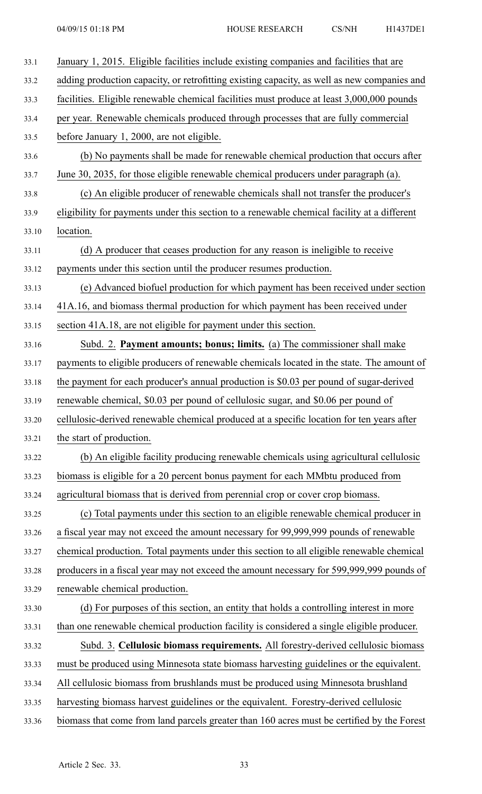| 33.1  | January 1, 2015. Eligible facilities include existing companies and facilities that are     |
|-------|---------------------------------------------------------------------------------------------|
| 33.2  | adding production capacity, or retrofitting existing capacity, as well as new companies and |
| 33.3  | facilities. Eligible renewable chemical facilities must produce at least 3,000,000 pounds   |
| 33.4  | per year. Renewable chemicals produced through processes that are fully commercial          |
| 33.5  | before January 1, 2000, are not eligible.                                                   |
| 33.6  | (b) No payments shall be made for renewable chemical production that occurs after           |
| 33.7  | June 30, 2035, for those eligible renewable chemical producers under paragraph (a).         |
| 33.8  | (c) An eligible producer of renewable chemicals shall not transfer the producer's           |
| 33.9  | eligibility for payments under this section to a renewable chemical facility at a different |
| 33.10 | location.                                                                                   |
| 33.11 | (d) A producer that ceases production for any reason is ineligible to receive               |
| 33.12 | payments under this section until the producer resumes production.                          |
| 33.13 | (e) Advanced biofuel production for which payment has been received under section           |
| 33.14 | 41A.16, and biomass thermal production for which payment has been received under            |
| 33.15 | section 41A.18, are not eligible for payment under this section.                            |
| 33.16 | Subd. 2. Payment amounts; bonus; limits. (a) The commissioner shall make                    |
| 33.17 | payments to eligible producers of renewable chemicals located in the state. The amount of   |
| 33.18 | the payment for each producer's annual production is \$0.03 per pound of sugar-derived      |
| 33.19 | renewable chemical, \$0.03 per pound of cellulosic sugar, and \$0.06 per pound of           |
| 33.20 | cellulosic-derived renewable chemical produced at a specific location for ten years after   |
| 33.21 | the start of production.                                                                    |
| 33.22 | (b) An eligible facility producing renewable chemicals using agricultural cellulosic        |
| 33.23 | biomass is eligible for a 20 percent bonus payment for each MMbtu produced from             |
| 33.24 | agricultural biomass that is derived from perennial crop or cover crop biomass.             |
| 33.25 | (c) Total payments under this section to an eligible renewable chemical producer in         |
| 33.26 | a fiscal year may not exceed the amount necessary for 99,999,999 pounds of renewable        |
| 33.27 | chemical production. Total payments under this section to all eligible renewable chemical   |
| 33.28 | producers in a fiscal year may not exceed the amount necessary for 599,999,999 pounds of    |
| 33.29 | renewable chemical production.                                                              |
| 33.30 | (d) For purposes of this section, an entity that holds a controlling interest in more       |
| 33.31 | than one renewable chemical production facility is considered a single eligible producer.   |
| 33.32 | Subd. 3. Cellulosic biomass requirements. All forestry-derived cellulosic biomass           |
| 33.33 | must be produced using Minnesota state biomass harvesting guidelines or the equivalent.     |
| 33.34 | All cellulosic biomass from brushlands must be produced using Minnesota brushland           |
| 33.35 | harvesting biomass harvest guidelines or the equivalent. Forestry-derived cellulosic        |
| 33.36 | biomass that come from land parcels greater than 160 acres must be certified by the Forest  |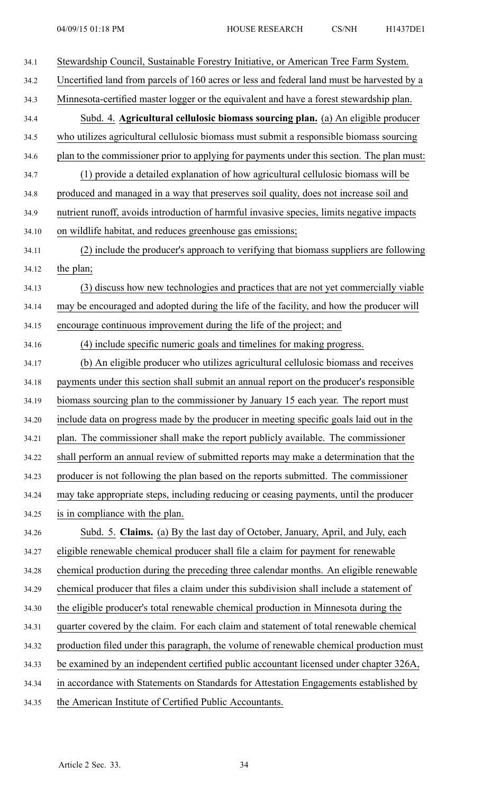| 34.1  | Stewardship Council, Sustainable Forestry Initiative, or American Tree Farm System.        |
|-------|--------------------------------------------------------------------------------------------|
| 34.2  | Uncertified land from parcels of 160 acres or less and federal land must be harvested by a |
| 34.3  | Minnesota-certified master logger or the equivalent and have a forest stewardship plan.    |
| 34.4  | Subd. 4. Agricultural cellulosic biomass sourcing plan. (a) An eligible producer           |
| 34.5  | who utilizes agricultural cellulosic biomass must submit a responsible biomass sourcing    |
| 34.6  | plan to the commissioner prior to applying for payments under this section. The plan must: |
| 34.7  | (1) provide a detailed explanation of how agricultural cellulosic biomass will be          |
| 34.8  | produced and managed in a way that preserves soil quality, does not increase soil and      |
| 34.9  | nutrient runoff, avoids introduction of harmful invasive species, limits negative impacts  |
| 34.10 | on wildlife habitat, and reduces greenhouse gas emissions;                                 |
| 34.11 | (2) include the producer's approach to verifying that biomass suppliers are following      |
| 34.12 | the plan;                                                                                  |
| 34.13 | (3) discuss how new technologies and practices that are not yet commercially viable        |
| 34.14 | may be encouraged and adopted during the life of the facility, and how the producer will   |
| 34.15 | encourage continuous improvement during the life of the project; and                       |
| 34.16 | (4) include specific numeric goals and timelines for making progress.                      |
| 34.17 | (b) An eligible producer who utilizes agricultural cellulosic biomass and receives         |
| 34.18 | payments under this section shall submit an annual report on the producer's responsible    |
| 34.19 | biomass sourcing plan to the commissioner by January 15 each year. The report must         |
| 34.20 | include data on progress made by the producer in meeting specific goals laid out in the    |
| 34.21 | plan. The commissioner shall make the report publicly available. The commissioner          |
| 34.22 | shall perform an annual review of submitted reports may make a determination that the      |
| 34.23 | producer is not following the plan based on the reports submitted. The commissioner        |
| 34.24 | may take appropriate steps, including reducing or ceasing payments, until the producer     |
| 34.25 | is in compliance with the plan.                                                            |
| 34.26 | Subd. 5. Claims. (a) By the last day of October, January, April, and July, each            |
| 34.27 | eligible renewable chemical producer shall file a claim for payment for renewable          |
| 34.28 | chemical production during the preceding three calendar months. An eligible renewable      |
| 34.29 | chemical producer that files a claim under this subdivision shall include a statement of   |
| 34.30 | the eligible producer's total renewable chemical production in Minnesota during the        |
| 34.31 | quarter covered by the claim. For each claim and statement of total renewable chemical     |
| 34.32 | production filed under this paragraph, the volume of renewable chemical production must    |
| 34.33 | be examined by an independent certified public accountant licensed under chapter 326A,     |
| 34.34 | in accordance with Statements on Standards for Attestation Engagements established by      |
| 34.35 | the American Institute of Certified Public Accountants.                                    |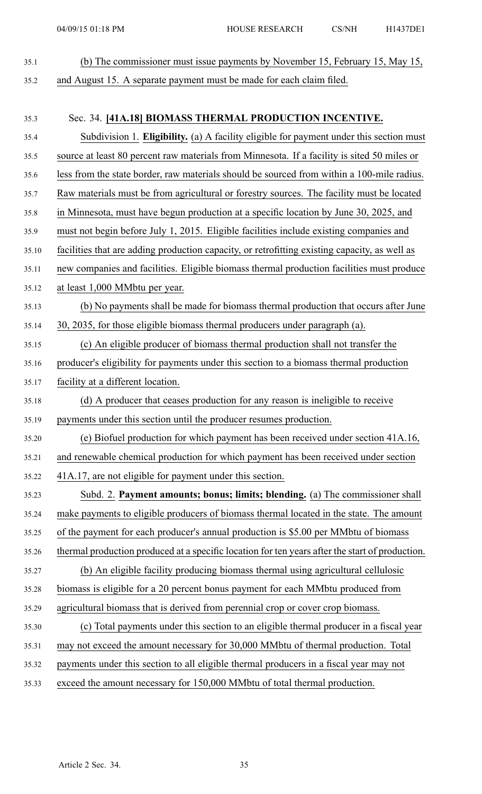35.1 (b) The commissioner must issue payments by November 15, February 15, May 15,

35.2 and August 15. A separate paymen<sup>t</sup> must be made for each claim filed.

35.3 Sec. 34. **[41A.18] BIOMASS THERMAL PRODUCTION INCENTIVE.** 35.4 Subdivision 1. **Eligibility.** (a) A facility eligible for paymen<sup>t</sup> under this section must 35.5 source at least 80 percen<sup>t</sup> raw materials from Minnesota. If <sup>a</sup> facility is sited 50 miles or 35.6 less from the state border, raw materials should be sourced from within <sup>a</sup> 100-mile radius. 35.7 Raw materials must be from agricultural or forestry sources. The facility must be located 35.8 in Minnesota, must have begun production at <sup>a</sup> specific location by June 30, 2025, and 35.9 must not begin before July 1, 2015. Eligible facilities include existing companies and 35.10 facilities that are adding production capacity, or retrofitting existing capacity, as well as 35.11 new companies and facilities. Eligible biomass thermal production facilities must produce 35.12 at least 1,000 MMbtu per year. 35.13 (b) No payments shall be made for biomass thermal production that occurs after June 35.14 30, 2035, for those eligible biomass thermal producers under paragraph (a). 35.15 (c) An eligible producer of biomass thermal production shall not transfer the 35.16 producer's eligibility for payments under this section to <sup>a</sup> biomass thermal production 35.17 facility at <sup>a</sup> different location. 35.18 (d) A producer that ceases production for any reason is ineligible to receive 35.19 payments under this section until the producer resumes production. 35.20 (e) Biofuel production for which paymen<sup>t</sup> has been received under section 41A.16, 35.21 and renewable chemical production for which paymen<sup>t</sup> has been received under section 35.22 41A.17, are not eligible for paymen<sup>t</sup> under this section. 35.23 Subd. 2. **Payment amounts; bonus; limits; blending.** (a) The commissioner shall 35.24 make payments to eligible producers of biomass thermal located in the state. The amount 35.25 of the paymen<sup>t</sup> for each producer's annual production is \$5.00 per MMbtu of biomass 35.26 thermal production produced at <sup>a</sup> specific location for ten years after the start of production. 35.27 (b) An eligible facility producing biomass thermal using agricultural cellulosic 35.28 biomass is eligible for <sup>a</sup> 20 percen<sup>t</sup> bonus paymen<sup>t</sup> for each MMbtu produced from 35.29 agricultural biomass that is derived from perennial crop or cover crop biomass. 35.30 (c) Total payments under this section to an eligible thermal producer in <sup>a</sup> fiscal year 35.31 may not exceed the amount necessary for 30,000 MMbtu of thermal production. Total 35.32 payments under this section to all eligible thermal producers in <sup>a</sup> fiscal year may not 35.33 exceed the amount necessary for 150,000 MMbtu of total thermal production.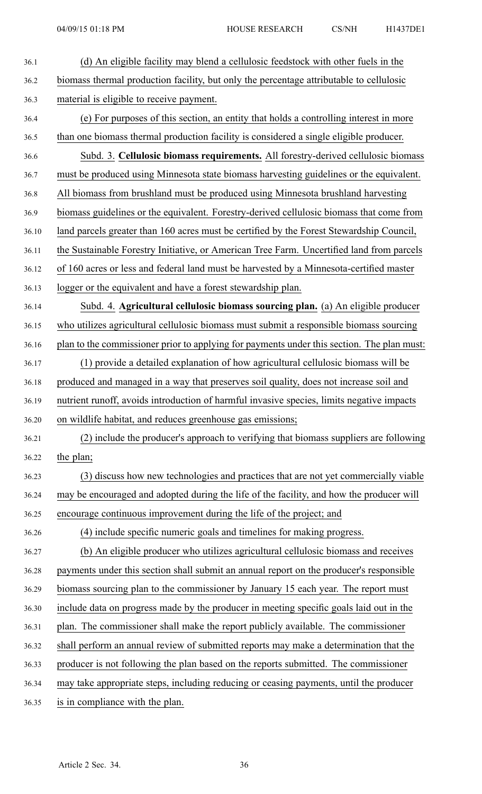| 36.1  | (d) An eligible facility may blend a cellulosic feedstock with other fuels in the          |
|-------|--------------------------------------------------------------------------------------------|
| 36.2  | biomass thermal production facility, but only the percentage attributable to cellulosic    |
| 36.3  | material is eligible to receive payment.                                                   |
| 36.4  | (e) For purposes of this section, an entity that holds a controlling interest in more      |
| 36.5  | than one biomass thermal production facility is considered a single eligible producer.     |
| 36.6  | Subd. 3. Cellulosic biomass requirements. All forestry-derived cellulosic biomass          |
| 36.7  | must be produced using Minnesota state biomass harvesting guidelines or the equivalent.    |
| 36.8  | All biomass from brushland must be produced using Minnesota brushland harvesting           |
| 36.9  | biomass guidelines or the equivalent. Forestry-derived cellulosic biomass that come from   |
| 36.10 | land parcels greater than 160 acres must be certified by the Forest Stewardship Council,   |
| 36.11 | the Sustainable Forestry Initiative, or American Tree Farm. Uncertified land from parcels  |
| 36.12 | of 160 acres or less and federal land must be harvested by a Minnesota-certified master    |
| 36.13 | logger or the equivalent and have a forest stewardship plan.                               |
| 36.14 | Subd. 4. Agricultural cellulosic biomass sourcing plan. (a) An eligible producer           |
| 36.15 | who utilizes agricultural cellulosic biomass must submit a responsible biomass sourcing    |
| 36.16 | plan to the commissioner prior to applying for payments under this section. The plan must: |
| 36.17 | (1) provide a detailed explanation of how agricultural cellulosic biomass will be          |
| 36.18 | produced and managed in a way that preserves soil quality, does not increase soil and      |
| 36.19 | nutrient runoff, avoids introduction of harmful invasive species, limits negative impacts  |
| 36.20 | on wildlife habitat, and reduces greenhouse gas emissions;                                 |
| 36.21 | (2) include the producer's approach to verifying that biomass suppliers are following      |
| 36.22 | the plan;                                                                                  |
| 36.23 | (3) discuss how new technologies and practices that are not yet commercially viable        |
| 36.24 | may be encouraged and adopted during the life of the facility, and how the producer will   |
| 36.25 | encourage continuous improvement during the life of the project; and                       |
| 36.26 | (4) include specific numeric goals and timelines for making progress.                      |
| 36.27 | (b) An eligible producer who utilizes agricultural cellulosic biomass and receives         |
| 36.28 | payments under this section shall submit an annual report on the producer's responsible    |
| 36.29 | biomass sourcing plan to the commissioner by January 15 each year. The report must         |
| 36.30 | include data on progress made by the producer in meeting specific goals laid out in the    |
| 36.31 | plan. The commissioner shall make the report publicly available. The commissioner          |
| 36.32 | shall perform an annual review of submitted reports may make a determination that the      |
| 36.33 | producer is not following the plan based on the reports submitted. The commissioner        |
| 36.34 | may take appropriate steps, including reducing or ceasing payments, until the producer     |
| 36.35 | is in compliance with the plan.                                                            |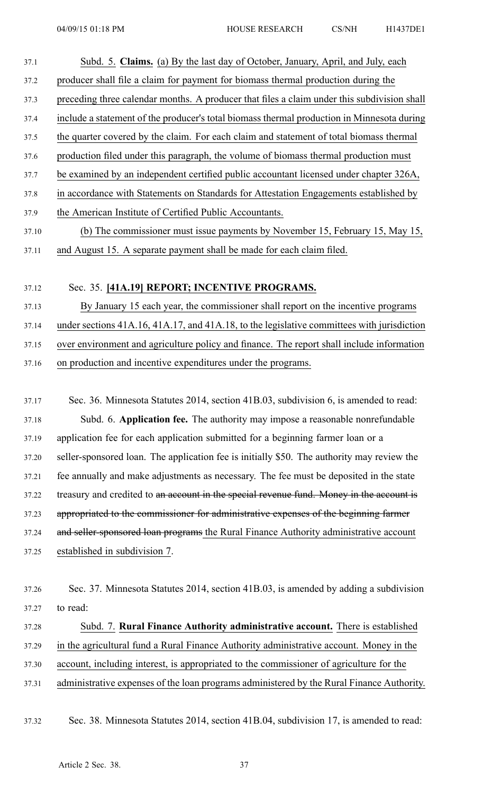37.1 Subd. 5. **Claims.** (a) By the last day of October, January, April, and July, each 37.2 producer shall file <sup>a</sup> claim for paymen<sup>t</sup> for biomass thermal production during the 37.3 preceding three calendar months. A producer that files <sup>a</sup> claim under this subdivision shall 37.4 include <sup>a</sup> statement of the producer's total biomass thermal production in Minnesota during 37.5 the quarter covered by the claim. For each claim and statement of total biomass thermal 37.6 production filed under this paragraph, the volume of biomass thermal production must 37.7 be examined by an independent certified public accountant licensed under chapter 326A, 37.8 in accordance with Statements on Standards for Attestation Engagements established by 37.9 the American Institute of Certified Public Accountants. 37.10 (b) The commissioner must issue payments by November 15, February 15, May 15, 37.11 and August 15. A separate paymen<sup>t</sup> shall be made for each claim filed.

#### 37.12 Sec. 35. **[41A.19] REPORT; INCENTIVE PROGRAMS.**

37.13 By January 15 each year, the commissioner shall repor<sup>t</sup> on the incentive programs 37.14 under sections 41A.16, 41A.17, and 41A.18, to the legislative committees with jurisdiction 37.15 over environment and agriculture policy and finance. The repor<sup>t</sup> shall include information

37.16 on production and incentive expenditures under the programs.

37.17 Sec. 36. Minnesota Statutes 2014, section 41B.03, subdivision 6, is amended to read: 37.18 Subd. 6. **Application fee.** The authority may impose <sup>a</sup> reasonable nonrefundable 37.19 application fee for each application submitted for <sup>a</sup> beginning farmer loan or <sup>a</sup> 37.20 seller-sponsored loan. The application fee is initially \$50. The authority may review the 37.21 fee annually and make adjustments as necessary. The fee must be deposited in the state 37.22 treasury and credited to an account in the special revenue fund. Money in the account is 37.23 appropriated to the commissioner for administrative expenses of the beginning farmer 37.24 and seller-sponsored loan programs the Rural Finance Authority administrative account 37.25 established in subdivision 7.

37.28 Subd. 7. **Rural Finance Authority administrative account.** There is established 37.29 in the agricultural fund <sup>a</sup> Rural Finance Authority administrative account. Money in the 37.30 account, including interest, is appropriated to the commissioner of agriculture for the 37.31 administrative expenses of the loan programs administered by the Rural Finance Authority.

37.32 Sec. 38. Minnesota Statutes 2014, section 41B.04, subdivision 17, is amended to read:

<sup>37.26</sup> Sec. 37. Minnesota Statutes 2014, section 41B.03, is amended by adding <sup>a</sup> subdivision 37.27 to read: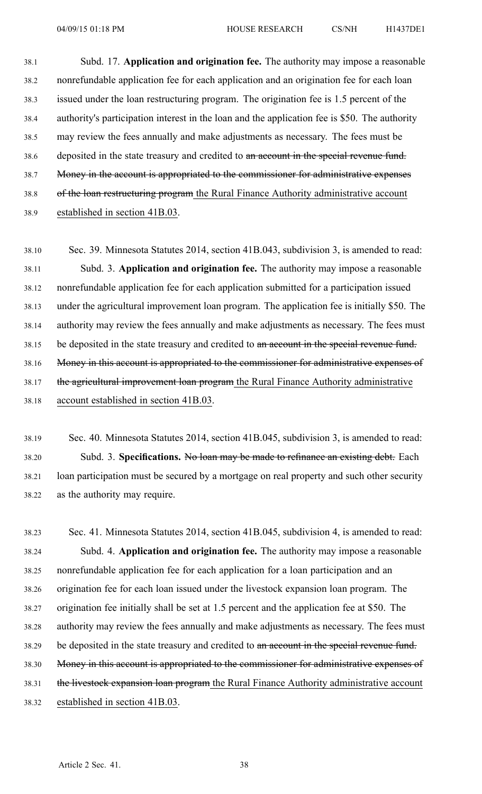38.1 Subd. 17. **Application and origination fee.** The authority may impose <sup>a</sup> reasonable 38.2 nonrefundable application fee for each application and an origination fee for each loan 38.3 issued under the loan restructuring program. The origination fee is 1.5 percen<sup>t</sup> of the 38.4 authority's participation interest in the loan and the application fee is \$50. The authority 38.5 may review the fees annually and make adjustments as necessary. The fees must be 38.6 deposited in the state treasury and credited to an account in the special revenue fund. 38.7 Money in the account is appropriated to the commissioner for administrative expenses 38.8 of the loan restructuring program the Rural Finance Authority administrative account 38.9 established in section 41B.03.

38.10 Sec. 39. Minnesota Statutes 2014, section 41B.043, subdivision 3, is amended to read: 38.11 Subd. 3. **Application and origination fee.** The authority may impose <sup>a</sup> reasonable 38.12 nonrefundable application fee for each application submitted for <sup>a</sup> participation issued 38.13 under the agricultural improvement loan program. The application fee is initially \$50. The 38.14 authority may review the fees annually and make adjustments as necessary. The fees must 38.15 be deposited in the state treasury and credited to an account in the special revenue fund. 38.16 Money in this account is appropriated to the commissioner for administrative expenses of 38.17 the agricultural improvement loan program the Rural Finance Authority administrative 38.18 account established in section 41B.03.

38.19 Sec. 40. Minnesota Statutes 2014, section 41B.045, subdivision 3, is amended to read: 38.20 Subd. 3. **Specifications.** No loan may be made to refinance an existing debt. Each 38.21 loan participation must be secured by <sup>a</sup> mortgage on real property and such other security 38.22 as the authority may require.

38.23 Sec. 41. Minnesota Statutes 2014, section 41B.045, subdivision 4, is amended to read: 38.24 Subd. 4. **Application and origination fee.** The authority may impose <sup>a</sup> reasonable 38.25 nonrefundable application fee for each application for <sup>a</sup> loan participation and an 38.26 origination fee for each loan issued under the livestock expansion loan program. The 38.27 origination fee initially shall be set at 1.5 percen<sup>t</sup> and the application fee at \$50. The 38.28 authority may review the fees annually and make adjustments as necessary. The fees must 38.29 be deposited in the state treasury and credited to an account in the special revenue fund. 38.30 Money in this account is appropriated to the commissioner for administrative expenses of 38.31 the livestock expansion loan program the Rural Finance Authority administrative account 38.32 established in section 41B.03.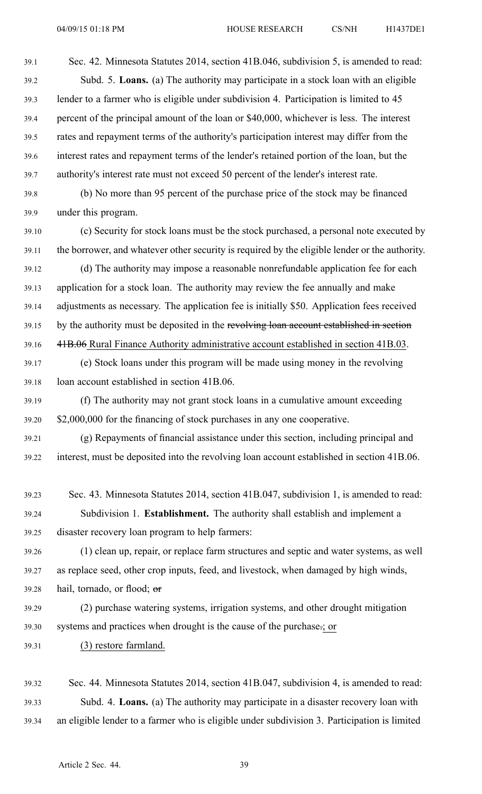39.1 Sec. 42. Minnesota Statutes 2014, section 41B.046, subdivision 5, is amended to read: 39.2 Subd. 5. **Loans.** (a) The authority may participate in <sup>a</sup> stock loan with an eligible 39.3 lender to <sup>a</sup> farmer who is eligible under subdivision 4. Participation is limited to 45 39.4 percen<sup>t</sup> of the principal amount of the loan or \$40,000, whichever is less. The interest 39.5 rates and repaymen<sup>t</sup> terms of the authority's participation interest may differ from the 39.6 interest rates and repaymen<sup>t</sup> terms of the lender's retained portion of the loan, but the 39.7 authority's interest rate must not exceed 50 percen<sup>t</sup> of the lender's interest rate.

39.8 (b) No more than 95 percen<sup>t</sup> of the purchase price of the stock may be financed 39.9 under this program.

39.10 (c) Security for stock loans must be the stock purchased, <sup>a</sup> personal note executed by 39.11 the borrower, and whatever other security is required by the eligible lender or the authority.

39.12 (d) The authority may impose <sup>a</sup> reasonable nonrefundable application fee for each 39.13 application for <sup>a</sup> stock loan. The authority may review the fee annually and make 39.14 adjustments as necessary. The application fee is initially \$50. Application fees received 39.15 by the authority must be deposited in the revolving loan account established in section 39.16 41B.06 Rural Finance Authority administrative account established in section 41B.03.

39.17 (e) Stock loans under this program will be made using money in the revolving 39.18 loan account established in section 41B.06.

39.19 (f) The authority may not gran<sup>t</sup> stock loans in <sup>a</sup> cumulative amount exceeding 39.20 \$2,000,000 for the financing of stock purchases in any one cooperative.

39.21 (g) Repayments of financial assistance under this section, including principal and 39.22 interest, must be deposited into the revolving loan account established in section 41B.06.

39.23 Sec. 43. Minnesota Statutes 2014, section 41B.047, subdivision 1, is amended to read: 39.24 Subdivision 1. **Establishment.** The authority shall establish and implement <sup>a</sup> 39.25 disaster recovery loan program to help farmers:

39.26 (1) clean up, repair, or replace farm structures and septic and water systems, as well 39.27 as replace seed, other crop inputs, feed, and livestock, when damaged by high winds,

39.28 hail, tornado, or flood;  $\sigma$ 

39.29 (2) purchase watering systems, irrigation systems, and other drought mitigation 39.30 systems and practices when drought is the cause of the purchase.; or

39.31 (3) restore farmland.

39.32 Sec. 44. Minnesota Statutes 2014, section 41B.047, subdivision 4, is amended to read: 39.33 Subd. 4. **Loans.** (a) The authority may participate in <sup>a</sup> disaster recovery loan with 39.34 an eligible lender to <sup>a</sup> farmer who is eligible under subdivision 3. Participation is limited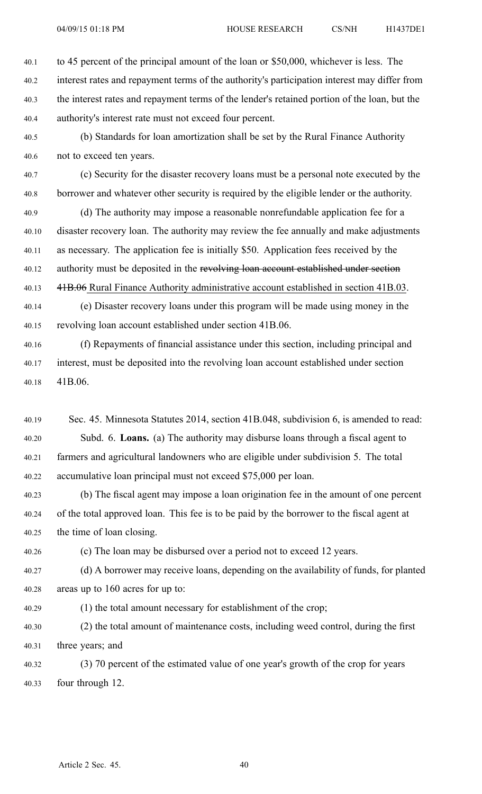40.1 to 45 percen<sup>t</sup> of the principal amount of the loan or \$50,000, whichever is less. The 40.2 interest rates and repaymen<sup>t</sup> terms of the authority's participation interest may differ from 40.3 the interest rates and repaymen<sup>t</sup> terms of the lender's retained portion of the loan, but the 40.4 authority's interest rate must not exceed four percent.

40.5 (b) Standards for loan amortization shall be set by the Rural Finance Authority 40.6 not to exceed ten years.

40.7 (c) Security for the disaster recovery loans must be <sup>a</sup> personal note executed by the 40.8 borrower and whatever other security is required by the eligible lender or the authority.

40.9 (d) The authority may impose <sup>a</sup> reasonable nonrefundable application fee for <sup>a</sup> 40.10 disaster recovery loan. The authority may review the fee annually and make adjustments 40.11 as necessary. The application fee is initially \$50. Application fees received by the 40.12 authority must be deposited in the revolving loan account established under section 40.13 41B.06 Rural Finance Authority administrative account established in section 41B.03.

40.14 (e) Disaster recovery loans under this program will be made using money in the 40.15 revolving loan account established under section 41B.06.

40.16 (f) Repayments of financial assistance under this section, including principal and 40.17 interest, must be deposited into the revolving loan account established under section 40.18 41B.06.

40.19 Sec. 45. Minnesota Statutes 2014, section 41B.048, subdivision 6, is amended to read: 40.20 Subd. 6. **Loans.** (a) The authority may disburse loans through <sup>a</sup> fiscal agen<sup>t</sup> to 40.21 farmers and agricultural landowners who are eligible under subdivision 5. The total 40.22 accumulative loan principal must not exceed \$75,000 per loan.

40.23 (b) The fiscal agen<sup>t</sup> may impose <sup>a</sup> loan origination fee in the amount of one percen<sup>t</sup> 40.24 of the total approved loan. This fee is to be paid by the borrower to the fiscal agen<sup>t</sup> at 40.25 the time of loan closing.

40.26 (c) The loan may be disbursed over <sup>a</sup> period not to exceed 12 years.

40.27 (d) A borrower may receive loans, depending on the availability of funds, for planted 40.28 areas up to 160 acres for up to:

40.29 (1) the total amount necessary for establishment of the crop;

40.30 (2) the total amount of maintenance costs, including weed control, during the first 40.31 three years; and

40.32 (3) 70 percen<sup>t</sup> of the estimated value of one year's growth of the crop for years 40.33 four through 12.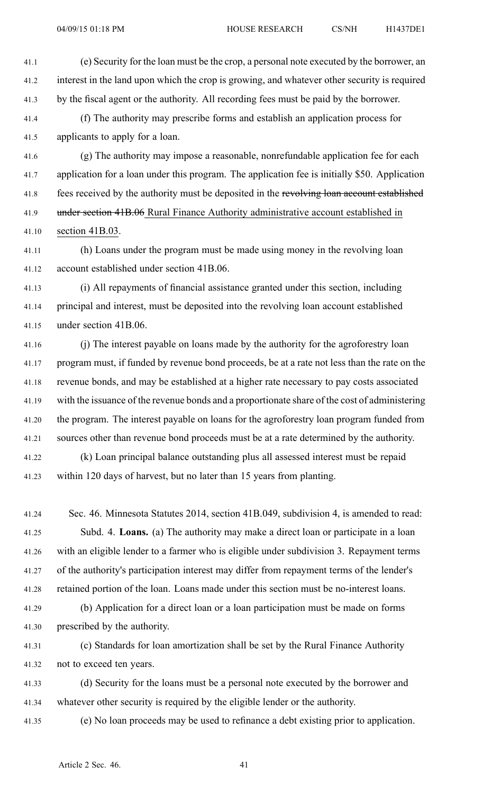41.1 (e) Security for the loan must be the crop, <sup>a</sup> personal note executed by the borrower, an 41.2 interest in the land upon which the crop is growing, and whatever other security is required 41.3 by the fiscal agen<sup>t</sup> or the authority. All recording fees must be paid by the borrower.

41.4 (f) The authority may prescribe forms and establish an application process for 41.5 applicants to apply for <sup>a</sup> loan.

41.6 (g) The authority may impose <sup>a</sup> reasonable, nonrefundable application fee for each 41.7 application for <sup>a</sup> loan under this program. The application fee is initially \$50. Application 41.8 fees received by the authority must be deposited in the revolving loan account established 41.9 under section 41B.06 Rural Finance Authority administrative account established in 41.10 section 41B.03.

41.11 (h) Loans under the program must be made using money in the revolving loan 41.12 account established under section 41B.06.

41.13 (i) All repayments of financial assistance granted under this section, including 41.14 principal and interest, must be deposited into the revolving loan account established 41.15 under section 41B.06.

41.16 (j) The interest payable on loans made by the authority for the agroforestry loan 41.17 program must, if funded by revenue bond proceeds, be at <sup>a</sup> rate not less than the rate on the 41.18 revenue bonds, and may be established at <sup>a</sup> higher rate necessary to pay costs associated 41.19 with the issuance of the revenue bonds and <sup>a</sup> proportionate share of the cost of administering 41.20 the program. The interest payable on loans for the agroforestry loan program funded from 41.21 sources other than revenue bond proceeds must be at <sup>a</sup> rate determined by the authority.

41.22 (k) Loan principal balance outstanding plus all assessed interest must be repaid 41.23 within 120 days of harvest, but no later than 15 years from planting.

41.24 Sec. 46. Minnesota Statutes 2014, section 41B.049, subdivision 4, is amended to read: 41.25 Subd. 4. **Loans.** (a) The authority may make <sup>a</sup> direct loan or participate in <sup>a</sup> loan 41.26 with an eligible lender to <sup>a</sup> farmer who is eligible under subdivision 3. Repayment terms 41.27 of the authority's participation interest may differ from repaymen<sup>t</sup> terms of the lender's 41.28 retained portion of the loan. Loans made under this section must be no-interest loans.

41.29 (b) Application for <sup>a</sup> direct loan or <sup>a</sup> loan participation must be made on forms 41.30 prescribed by the authority.

41.31 (c) Standards for loan amortization shall be set by the Rural Finance Authority 41.32 not to exceed ten years.

41.33 (d) Security for the loans must be <sup>a</sup> personal note executed by the borrower and 41.34 whatever other security is required by the eligible lender or the authority.

41.35 (e) No loan proceeds may be used to refinance <sup>a</sup> debt existing prior to application.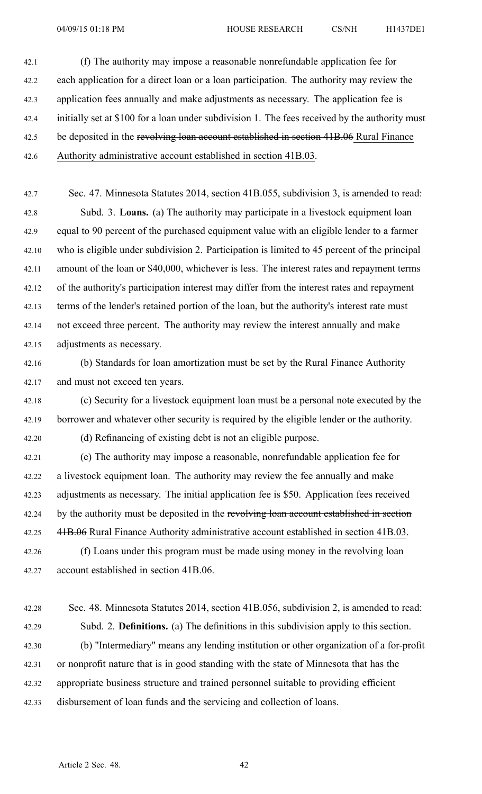42.1 (f) The authority may impose <sup>a</sup> reasonable nonrefundable application fee for 42.2 each application for <sup>a</sup> direct loan or <sup>a</sup> loan participation. The authority may review the 42.3 application fees annually and make adjustments as necessary. The application fee is 42.4 initially set at \$100 for <sup>a</sup> loan under subdivision 1. The fees received by the authority must 42.5 be deposited in the revolving loan account established in section 41B.06 Rural Finance 42.6 Authority administrative account established in section 41B.03.

42.7 Sec. 47. Minnesota Statutes 2014, section 41B.055, subdivision 3, is amended to read: 42.8 Subd. 3. **Loans.** (a) The authority may participate in <sup>a</sup> livestock equipment loan 42.9 equal to 90 percen<sup>t</sup> of the purchased equipment value with an eligible lender to <sup>a</sup> farmer 42.10 who is eligible under subdivision 2. Participation is limited to 45 percen<sup>t</sup> of the principal 42.11 amount of the loan or \$40,000, whichever is less. The interest rates and repaymen<sup>t</sup> terms 42.12 of the authority's participation interest may differ from the interest rates and repaymen<sup>t</sup> 42.13 terms of the lender's retained portion of the loan, but the authority's interest rate must 42.14 not exceed three percent. The authority may review the interest annually and make 42.15 adjustments as necessary.

42.16 (b) Standards for loan amortization must be set by the Rural Finance Authority 42.17 and must not exceed ten years.

42.18 (c) Security for <sup>a</sup> livestock equipment loan must be <sup>a</sup> personal note executed by the 42.19 borrower and whatever other security is required by the eligible lender or the authority. 42.20 (d) Refinancing of existing debt is not an eligible purpose.

42.21 (e) The authority may impose <sup>a</sup> reasonable, nonrefundable application fee for 42.22 <sup>a</sup> livestock equipment loan. The authority may review the fee annually and make 42.23 adjustments as necessary. The initial application fee is \$50. Application fees received 42.24 by the authority must be deposited in the revolving loan account established in section 42.25 41B.06 Rural Finance Authority administrative account established in section 41B.03. 42.26 (f) Loans under this program must be made using money in the revolving loan

42.27 account established in section 41B.06.

42.28 Sec. 48. Minnesota Statutes 2014, section 41B.056, subdivision 2, is amended to read: 42.29 Subd. 2. **Definitions.** (a) The definitions in this subdivision apply to this section. 42.30 (b) "Intermediary" means any lending institution or other organization of <sup>a</sup> for-profit 42.31 or nonprofit nature that is in good standing with the state of Minnesota that has the 42.32 appropriate business structure and trained personnel suitable to providing efficient 42.33 disbursement of loan funds and the servicing and collection of loans.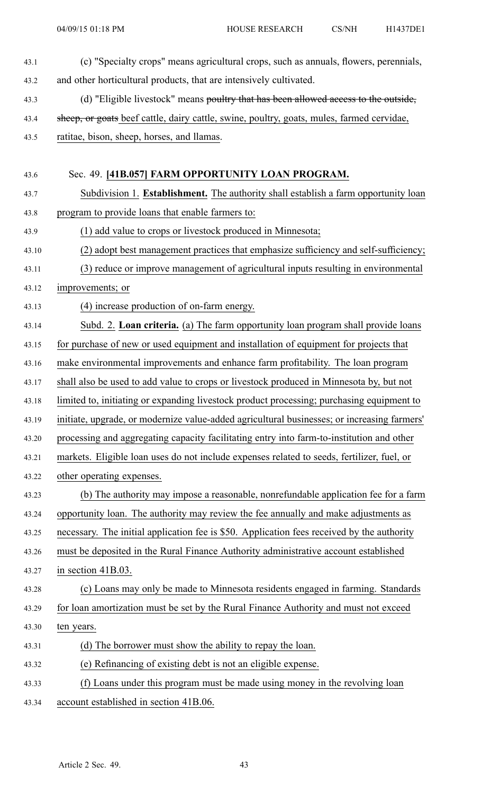43.1 (c) "Specialty crops" means agricultural crops, such as annuals, flowers, perennials, 43.2 and other horticultural products, that are intensively cultivated. 43.3 (d) "Eligible livestock" means poultry that has been allowed access to the outside, 43.4 sheep, or goats beef cattle, dairy cattle, swine, poultry, goats, mules, farmed cervidae, 43.5 ratitae, bison, sheep, horses, and llamas. 43.6 Sec. 49. **[41B.057] FARM OPPORTUNITY LOAN PROGRAM.** 43.7 Subdivision 1. **Establishment.** The authority shall establish <sup>a</sup> farm opportunity loan 43.8 program to provide loans that enable farmers to: 43.9 (1) add value to crops or livestock produced in Minnesota; 43.10 (2) adopt best managemen<sup>t</sup> practices that emphasize sufficiency and self-sufficiency; 43.11 (3) reduce or improve managemen<sup>t</sup> of agricultural inputs resulting in environmental 43.12 improvements; or 43.13 (4) increase production of on-farm energy. 43.14 Subd. 2. **Loan criteria.** (a) The farm opportunity loan program shall provide loans 43.15 for purchase of new or used equipment and installation of equipment for projects that 43.16 make environmental improvements and enhance farm profitability. The loan program 43.17 shall also be used to add value to crops or livestock produced in Minnesota by, but not 43.18 limited to, initiating or expanding livestock product processing; purchasing equipment to 43.19 initiate, upgrade, or modernize value-added agricultural businesses; or increasing farmers' 43.20 processing and aggregating capacity facilitating entry into farm-to-institution and other 43.21 markets. Eligible loan uses do not include expenses related to seeds, fertilizer, fuel, or 43.22 other operating expenses. 43.23 (b) The authority may impose <sup>a</sup> reasonable, nonrefundable application fee for <sup>a</sup> farm 43.24 opportunity loan. The authority may review the fee annually and make adjustments as 43.25 necessary. The initial application fee is \$50. Application fees received by the authority 43.26 must be deposited in the Rural Finance Authority administrative account established 43.27 in section 41B.03. 43.28 (c) Loans may only be made to Minnesota residents engaged in farming. Standards 43.29 for loan amortization must be set by the Rural Finance Authority and must not exceed 43.30 ten years. 43.31 (d) The borrower must show the ability to repay the loan. 43.32 (e) Refinancing of existing debt is not an eligible expense. 43.33 (f) Loans under this program must be made using money in the revolving loan 43.34 account established in section 41B.06.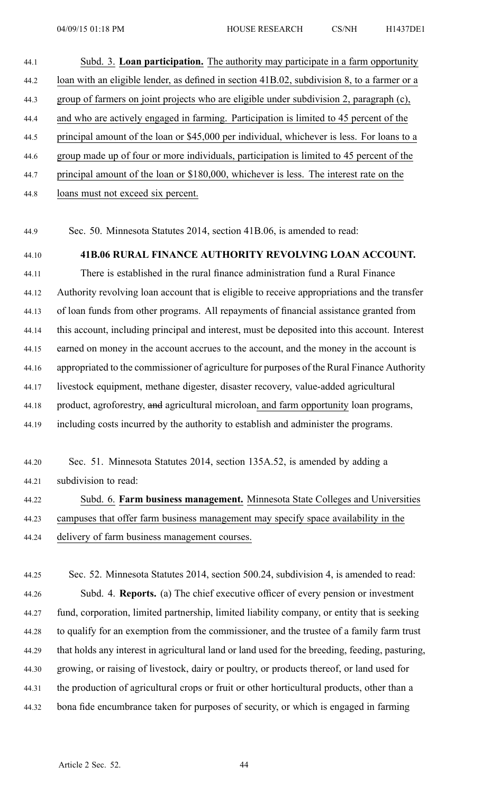# 44.1 Subd. 3. **Loan participation.** The authority may participate in <sup>a</sup> farm opportunity 44.2 loan with an eligible lender, as defined in section 41B.02, subdivision 8, to <sup>a</sup> farmer or <sup>a</sup> 44.3 group of farmers on joint projects who are eligible under subdivision 2, paragraph (c), 44.4 and who are actively engaged in farming. Participation is limited to 45 percen<sup>t</sup> of the 44.5 principal amount of the loan or \$45,000 per individual, whichever is less. For loans to <sup>a</sup> 44.6 group made up of four or more individuals, participation is limited to 45 percen<sup>t</sup> of the 44.7 principal amount of the loan or \$180,000, whichever is less. The interest rate on the

44.8 loans must not exceed six percent.

44.9 Sec. 50. Minnesota Statutes 2014, section 41B.06, is amended to read:

### 44.10 **41B.06 RURAL FINANCE AUTHORITY REVOLVING LOAN ACCOUNT.**

44.11 There is established in the rural finance administration fund <sup>a</sup> Rural Finance 44.12 Authority revolving loan account that is eligible to receive appropriations and the transfer 44.13 of loan funds from other programs. All repayments of financial assistance granted from 44.14 this account, including principal and interest, must be deposited into this account. Interest 44.15 earned on money in the account accrues to the account, and the money in the account is 44.16 appropriated to the commissioner of agriculture for purposes of the Rural Finance Authority 44.17 livestock equipment, methane digester, disaster recovery, value-added agricultural 44.18 product, agroforestry, and agricultural microloan, and farm opportunity loan programs, 44.19 including costs incurred by the authority to establish and administer the programs.

| 44.20 | Sec. 51. Minnesota Statutes 2014, section 135A.52, is amended by adding a    |
|-------|------------------------------------------------------------------------------|
| 44.21 | subdivision to read:                                                         |
| 44.22 | Subd. 6. Farm business management. Minnesota State Colleges and Universities |

44.23 campuses that offer farm business managemen<sup>t</sup> may specify space availability in the 44.24 delivery of farm business managemen<sup>t</sup> courses.

44.25 Sec. 52. Minnesota Statutes 2014, section 500.24, subdivision 4, is amended to read: 44.26 Subd. 4. **Reports.** (a) The chief executive officer of every pension or investment 44.27 fund, corporation, limited partnership, limited liability company, or entity that is seeking 44.28 to qualify for an exemption from the commissioner, and the trustee of <sup>a</sup> family farm trust 44.29 that holds any interest in agricultural land or land used for the breeding, feeding, pasturing, 44.30 growing, or raising of livestock, dairy or poultry, or products thereof, or land used for 44.31 the production of agricultural crops or fruit or other horticultural products, other than <sup>a</sup> 44.32 bona fide encumbrance taken for purposes of security, or which is engaged in farming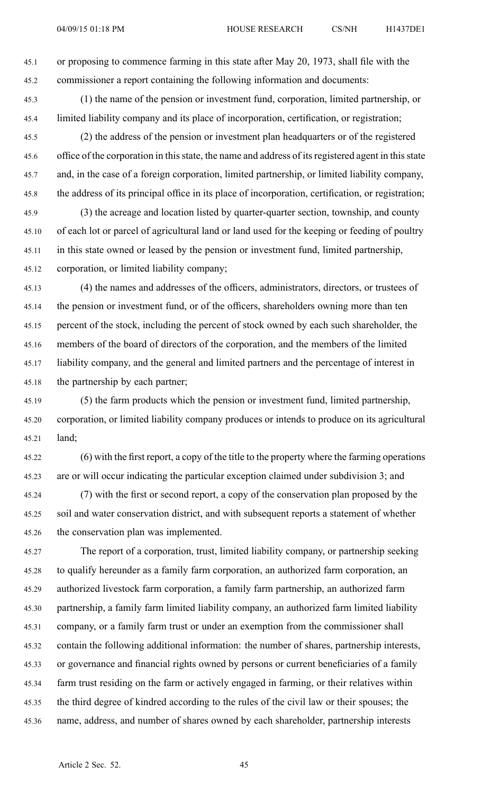45.1 or proposing to commence farming in this state after May 20, 1973, shall file with the 45.2 commissioner <sup>a</sup> repor<sup>t</sup> containing the following information and documents:

- 45.3 (1) the name of the pension or investment fund, corporation, limited partnership, or 45.4 limited liability company and its place of incorporation, certification, or registration;
- 45.5 (2) the address of the pension or investment plan headquarters or of the registered 45.6 office of the corporation in this state, the name and address of its registered agent in this state 45.7 and, in the case of <sup>a</sup> foreign corporation, limited partnership, or limited liability company, 45.8 the address of its principal office in its place of incorporation, certification, or registration;
- 45.9 (3) the acreage and location listed by quarter-quarter section, township, and county 45.10 of each lot or parcel of agricultural land or land used for the keeping or feeding of poultry 45.11 in this state owned or leased by the pension or investment fund, limited partnership, 45.12 corporation, or limited liability company;
- 45.13 (4) the names and addresses of the officers, administrators, directors, or trustees of 45.14 the pension or investment fund, or of the officers, shareholders owning more than ten 45.15 percen<sup>t</sup> of the stock, including the percen<sup>t</sup> of stock owned by each such shareholder, the 45.16 members of the board of directors of the corporation, and the members of the limited 45.17 liability company, and the general and limited partners and the percentage of interest in 45.18 the partnership by each partner;
- 45.19 (5) the farm products which the pension or investment fund, limited partnership, 45.20 corporation, or limited liability company produces or intends to produce on its agricultural 45.21 land;
- 45.22 (6) with the first report, <sup>a</sup> copy of the title to the property where the farming operations 45.23 are or will occur indicating the particular exception claimed under subdivision 3; and
- 45.24 (7) with the first or second report, <sup>a</sup> copy of the conservation plan proposed by the 45.25 soil and water conservation district, and with subsequent reports <sup>a</sup> statement of whether 45.26 the conservation plan was implemented.
- 45.27 The repor<sup>t</sup> of <sup>a</sup> corporation, trust, limited liability company, or partnership seeking 45.28 to qualify hereunder as <sup>a</sup> family farm corporation, an authorized farm corporation, an 45.29 authorized livestock farm corporation, <sup>a</sup> family farm partnership, an authorized farm 45.30 partnership, <sup>a</sup> family farm limited liability company, an authorized farm limited liability 45.31 company, or <sup>a</sup> family farm trust or under an exemption from the commissioner shall 45.32 contain the following additional information: the number of shares, partnership interests, 45.33 or governance and financial rights owned by persons or current beneficiaries of <sup>a</sup> family 45.34 farm trust residing on the farm or actively engaged in farming, or their relatives within 45.35 the third degree of kindred according to the rules of the civil law or their spouses; the 45.36 name, address, and number of shares owned by each shareholder, partnership interests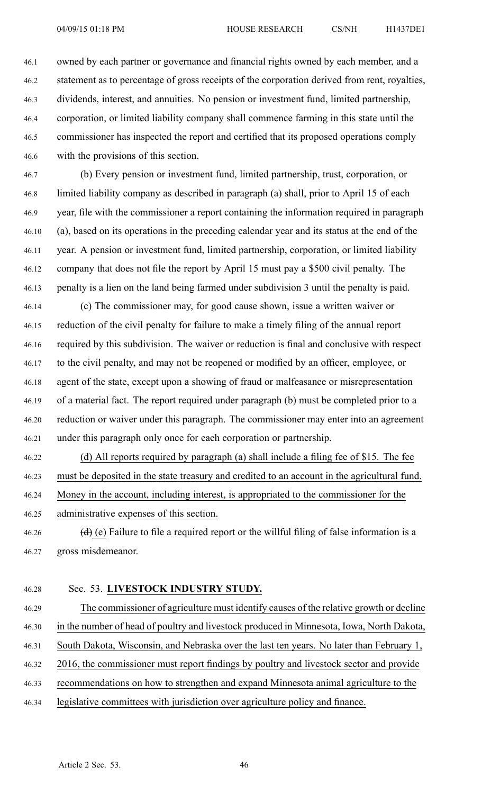46.1 owned by each partner or governance and financial rights owned by each member, and <sup>a</sup> 46.2 statement as to percentage of gross receipts of the corporation derived from rent, royalties, 46.3 dividends, interest, and annuities. No pension or investment fund, limited partnership, 46.4 corporation, or limited liability company shall commence farming in this state until the 46.5 commissioner has inspected the repor<sup>t</sup> and certified that its proposed operations comply 46.6 with the provisions of this section.

46.7 (b) Every pension or investment fund, limited partnership, trust, corporation, or 46.8 limited liability company as described in paragraph (a) shall, prior to April 15 of each 46.9 year, file with the commissioner <sup>a</sup> repor<sup>t</sup> containing the information required in paragraph 46.10 (a), based on its operations in the preceding calendar year and its status at the end of the 46.11 year. A pension or investment fund, limited partnership, corporation, or limited liability 46.12 company that does not file the repor<sup>t</sup> by April 15 must pay <sup>a</sup> \$500 civil penalty. The 46.13 penalty is <sup>a</sup> lien on the land being farmed under subdivision 3 until the penalty is paid.

46.14 (c) The commissioner may, for good cause shown, issue <sup>a</sup> written waiver or 46.15 reduction of the civil penalty for failure to make <sup>a</sup> timely filing of the annual repor<sup>t</sup> 46.16 required by this subdivision. The waiver or reduction is final and conclusive with respec<sup>t</sup> 46.17 to the civil penalty, and may not be reopened or modified by an officer, employee, or 46.18 agen<sup>t</sup> of the state, excep<sup>t</sup> upon <sup>a</sup> showing of fraud or malfeasance or misrepresentation 46.19 of <sup>a</sup> material fact. The repor<sup>t</sup> required under paragraph (b) must be completed prior to <sup>a</sup> 46.20 reduction or waiver under this paragraph. The commissioner may enter into an agreemen<sup>t</sup> 46.21 under this paragraph only once for each corporation or partnership.

46.22 (d) All reports required by paragraph (a) shall include <sup>a</sup> filing fee of \$15. The fee 46.23 must be deposited in the state treasury and credited to an account in the agricultural fund. 46.24 Money in the account, including interest, is appropriated to the commissioner for the

- 46.25 administrative expenses of this section.
- 46.26 (d) (e) Failure to file a required report or the willful filing of false information is a 46.27 gross misdemeanor.

#### 46.28 Sec. 53. **LIVESTOCK INDUSTRY STUDY.**

46.29 The commissioner of agriculture must identify causes of the relative growth or decline 46.30 in the number of head of poultry and livestock produced in Minnesota, Iowa, North Dakota, 46.31 South Dakota, Wisconsin, and Nebraska over the last ten years. No later than February 1, 46.32 2016, the commissioner must repor<sup>t</sup> findings by poultry and livestock sector and provide 46.33 recommendations on how to strengthen and expand Minnesota animal agriculture to the 46.34 legislative committees with jurisdiction over agriculture policy and finance.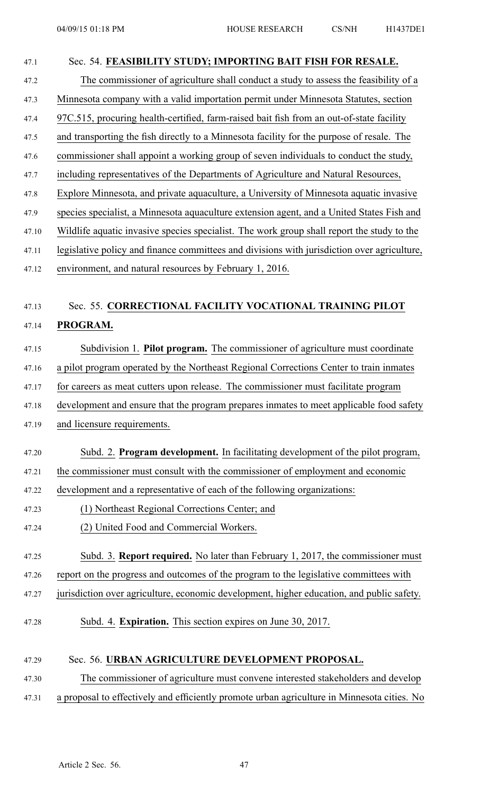# 47.1 Sec. 54. **FEASIBILITY STUDY; IMPORTING BAIT FISH FOR RESALE.** 47.2 The commissioner of agriculture shall conduct <sup>a</sup> study to assess the feasibility of <sup>a</sup> 47.3 Minnesota company with <sup>a</sup> valid importation permit under Minnesota Statutes, section 47.4 97C.515, procuring health-certified, farm-raised bait fish from an out-of-state facility 47.5 and transporting the fish directly to <sup>a</sup> Minnesota facility for the purpose of resale. The 47.6 commissioner shall appoint <sup>a</sup> working group of seven individuals to conduct the study, 47.7 including representatives of the Departments of Agriculture and Natural Resources, 47.8 Explore Minnesota, and private aquaculture, <sup>a</sup> University of Minnesota aquatic invasive 47.9 species specialist, <sup>a</sup> Minnesota aquaculture extension agent, and <sup>a</sup> United States Fish and 47.10 Wildlife aquatic invasive species specialist. The work group shall repor<sup>t</sup> the study to the 47.11 legislative policy and finance committees and divisions with jurisdiction over agriculture, 47.12 environment, and natural resources by February 1, 2016. 47.13 Sec. 55. **CORRECTIONAL FACILITY VOCATIONAL TRAINING PILOT** 47.14 **PROGRAM.** 47.15 Subdivision 1. **Pilot program.** The commissioner of agriculture must coordinate 47.16 <sup>a</sup> pilot program operated by the Northeast Regional Corrections Center to train inmates 47.17 for careers as meat cutters upon release. The commissioner must facilitate program 47.18 development and ensure that the program prepares inmates to meet applicable food safety 47.19 and licensure requirements. 47.20 Subd. 2. **Program development.** In facilitating development of the pilot program, 47.21 the commissioner must consult with the commissioner of employment and economic 47.22 development and <sup>a</sup> representative of each of the following organizations: 47.23 (1) Northeast Regional Corrections Center; and 47.24 (2) United Food and Commercial Workers. 47.25 Subd. 3. **Report required.** No later than February 1, 2017, the commissioner must 47.26 repor<sup>t</sup> on the progress and outcomes of the program to the legislative committees with 47.27 jurisdiction over agriculture, economic development, higher education, and public safety. 47.28 Subd. 4. **Expiration.** This section expires on June 30, 2017. 47.29 Sec. 56. **URBAN AGRICULTURE DEVELOPMENT PROPOSAL.** 47.30 The commissioner of agriculture must convene interested stakeholders and develop 47.31 <sup>a</sup> proposal to effectively and efficiently promote urban agriculture in Minnesota cities. No